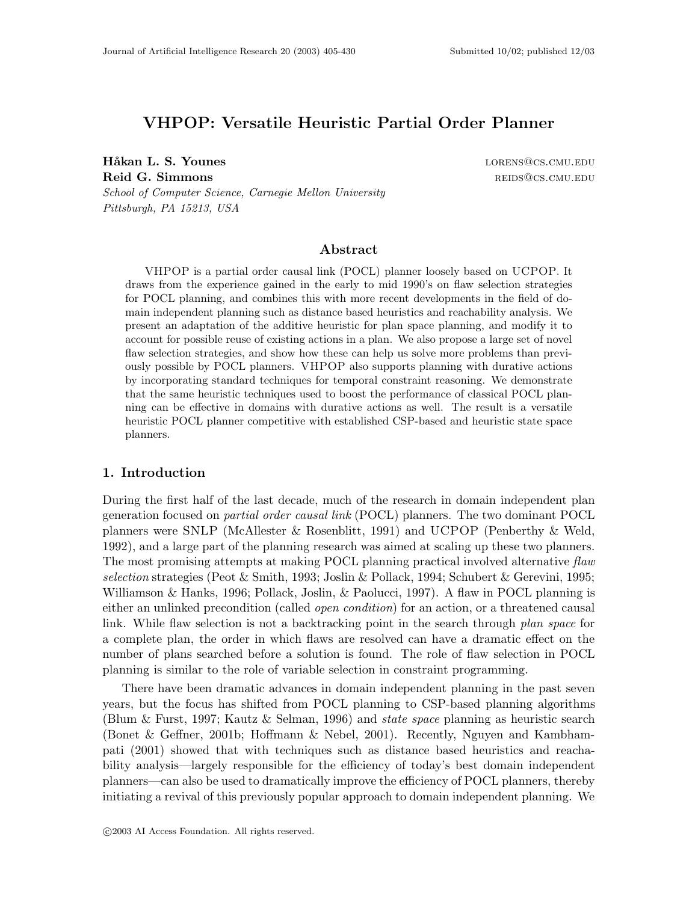# **VHPOP: Versatile Heuristic Partial Order Planner**

**Håkan L. S. Younes lorens** lorens lorens lorens lorens lorens lorens lorens lorens lorens lorens lorens lorens lorens lorens lorens lorens lorens lorens lorens lorens lorens lorens lorens lorens lorens lorens lorens lor **Reid G. Simmons** results and the second second reflection of the second results are reflected as  $REDS@CS.CMU.EDU$ *School of Computer Science, Carnegie Mellon University Pittsburgh, PA 15213, USA*

## **Abstract**

VHPOP is a partial order causal link (POCL) planner loosely based on UCPOP. It draws from the experience gained in the early to mid 1990's on flaw selection strategies for POCL planning, and combines this with more recent developments in the field of domain independent planning such as distance based heuristics and reachability analysis. We present an adaptation of the additive heuristic for plan space planning, and modify it to account for possible reuse of existing actions in a plan. We also propose a large set of novel flaw selection strategies, and show how these can help us solve more problems than previously possible by POCL planners. VHPOP also supports planning with durative actions by incorporating standard techniques for temporal constraint reasoning. We demonstrate that the same heuristic techniques used to boost the performance of classical POCL planning can be effective in domains with durative actions as well. The result is a versatile heuristic POCL planner competitive with established CSP-based and heuristic state space planners.

## **1. Introduction**

During the first half of the last decade, much of the research in domain independent plan generation focused on *partial order causal link* (POCL) planners. The two dominant POCL planners were SNLP (McAllester & Rosenblitt, 1991) and UCPOP (Penberthy & Weld, 1992), and a large part of the planning research was aimed at scaling up these two planners. The most promising attempts at making POCL planning practical involved alternative *flaw selection* strategies (Peot & Smith, 1993; Joslin & Pollack, 1994; Schubert & Gerevini, 1995; Williamson & Hanks, 1996; Pollack, Joslin, & Paolucci, 1997). A flaw in POCL planning is either an unlinked precondition (called *open condition*) for an action, or a threatened causal link. While flaw selection is not a backtracking point in the search through *plan space* for a complete plan, the order in which flaws are resolved can have a dramatic effect on the number of plans searched before a solution is found. The role of flaw selection in POCL planning is similar to the role of variable selection in constraint programming.

There have been dramatic advances in domain independent planning in the past seven years, but the focus has shifted from POCL planning to CSP-based planning algorithms (Blum & Furst, 1997; Kautz & Selman, 1996) and *state space* planning as heuristic search (Bonet & Geffner, 2001b; Hoffmann & Nebel, 2001). Recently, Nguyen and Kambhampati (2001) showed that with techniques such as distance based heuristics and reachability analysis—largely responsible for the efficiency of today's best domain independent planners—can also be used to dramatically improve the efficiency of POCL planners, thereby initiating a revival of this previously popular approach to domain independent planning. We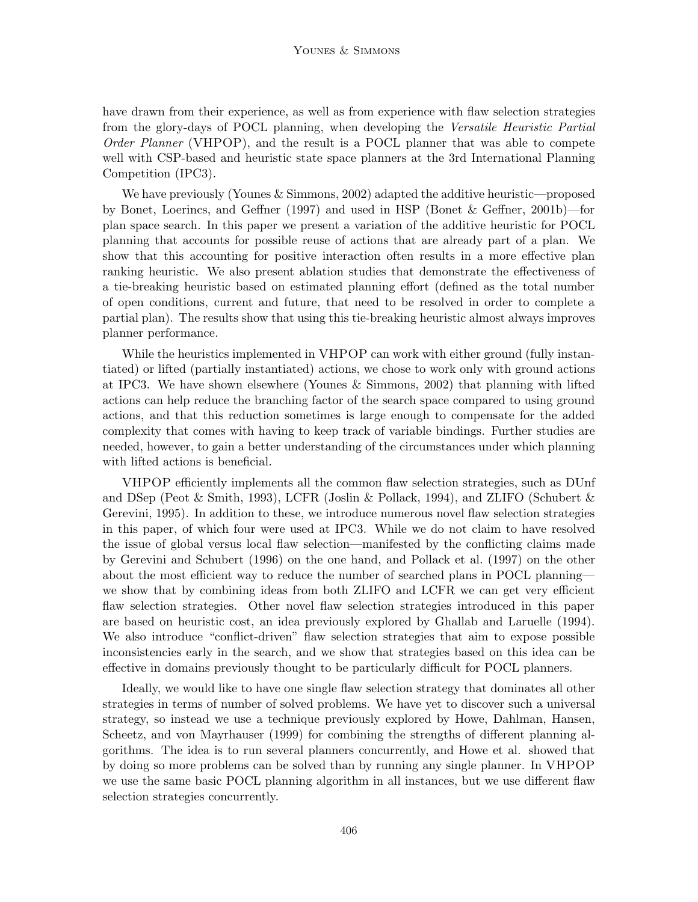have drawn from their experience, as well as from experience with flaw selection strategies from the glory-days of POCL planning, when developing the *Versatile Heuristic Partial Order Planner* (VHPOP), and the result is a POCL planner that was able to compete well with CSP-based and heuristic state space planners at the 3rd International Planning Competition (IPC3).

We have previously (Younes & Simmons, 2002) adapted the additive heuristic—proposed by Bonet, Loerincs, and Geffner (1997) and used in HSP (Bonet & Geffner, 2001b)—for plan space search. In this paper we present a variation of the additive heuristic for POCL planning that accounts for possible reuse of actions that are already part of a plan. We show that this accounting for positive interaction often results in a more effective plan ranking heuristic. We also present ablation studies that demonstrate the effectiveness of a tie-breaking heuristic based on estimated planning effort (defined as the total number of open conditions, current and future, that need to be resolved in order to complete a partial plan). The results show that using this tie-breaking heuristic almost always improves planner performance.

While the heuristics implemented in VHPOP can work with either ground (fully instantiated) or lifted (partially instantiated) actions, we chose to work only with ground actions at IPC3. We have shown elsewhere (Younes & Simmons, 2002) that planning with lifted actions can help reduce the branching factor of the search space compared to using ground actions, and that this reduction sometimes is large enough to compensate for the added complexity that comes with having to keep track of variable bindings. Further studies are needed, however, to gain a better understanding of the circumstances under which planning with lifted actions is beneficial.

VHPOP efficiently implements all the common flaw selection strategies, such as DUnf and DSep (Peot & Smith, 1993), LCFR (Joslin & Pollack, 1994), and ZLIFO (Schubert & Gerevini, 1995). In addition to these, we introduce numerous novel flaw selection strategies in this paper, of which four were used at IPC3. While we do not claim to have resolved the issue of global versus local flaw selection—manifested by the conflicting claims made by Gerevini and Schubert (1996) on the one hand, and Pollack et al. (1997) on the other about the most efficient way to reduce the number of searched plans in POCL planning we show that by combining ideas from both ZLIFO and LCFR we can get very efficient flaw selection strategies. Other novel flaw selection strategies introduced in this paper are based on heuristic cost, an idea previously explored by Ghallab and Laruelle (1994). We also introduce "conflict-driven" flaw selection strategies that aim to expose possible inconsistencies early in the search, and we show that strategies based on this idea can be effective in domains previously thought to be particularly difficult for POCL planners.

Ideally, we would like to have one single flaw selection strategy that dominates all other strategies in terms of number of solved problems. We have yet to discover such a universal strategy, so instead we use a technique previously explored by Howe, Dahlman, Hansen, Scheetz, and von Mayrhauser (1999) for combining the strengths of different planning algorithms. The idea is to run several planners concurrently, and Howe et al. showed that by doing so more problems can be solved than by running any single planner. In VHPOP we use the same basic POCL planning algorithm in all instances, but we use different flaw selection strategies concurrently.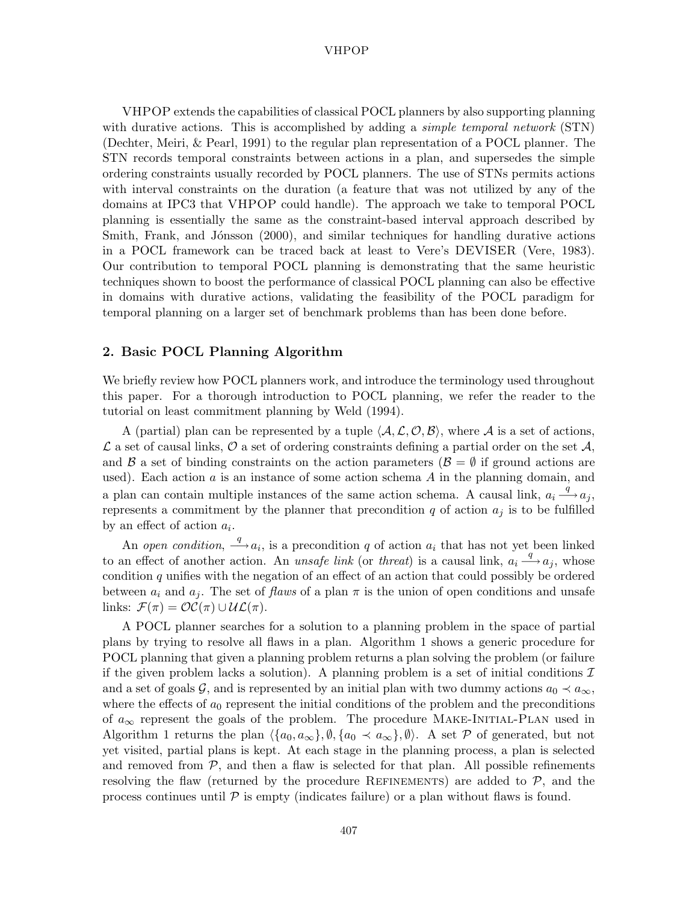VHPOP extends the capabilities of classical POCL planners by also supporting planning with durative actions. This is accomplished by adding a *simple temporal network* (STN) (Dechter, Meiri, & Pearl, 1991) to the regular plan representation of a POCL planner. The STN records temporal constraints between actions in a plan, and supersedes the simple ordering constraints usually recorded by POCL planners. The use of STNs permits actions with interval constraints on the duration (a feature that was not utilized by any of the domains at IPC3 that VHPOP could handle). The approach we take to temporal POCL planning is essentially the same as the constraint-based interval approach described by Smith, Frank, and Jónsson (2000), and similar techniques for handling durative actions in a POCL framework can be traced back at least to Vere's DEVISER (Vere, 1983). Our contribution to temporal POCL planning is demonstrating that the same heuristic techniques shown to boost the performance of classical POCL planning can also be effective in domains with durative actions, validating the feasibility of the POCL paradigm for temporal planning on a larger set of benchmark problems than has been done before.

## **2. Basic POCL Planning Algorithm**

We briefly review how POCL planners work, and introduce the terminology used throughout this paper. For a thorough introduction to POCL planning, we refer the reader to the tutorial on least commitment planning by Weld (1994).

A (partial) plan can be represented by a tuple  $\langle A, \mathcal{L}, \mathcal{O}, \mathcal{B} \rangle$ , where A is a set of actions,  $\mathcal L$  a set of causal links,  $\mathcal O$  a set of ordering constraints defining a partial order on the set  $\mathcal A$ , and  $\beta$  a set of binding constraints on the action parameters ( $\beta = \emptyset$  if ground actions are used). Each action  $a$  is an instance of some action schema  $A$  in the planning domain, and a plan can contain multiple instances of the same action schema. A causal link,  $a_i \stackrel{q}{\longrightarrow} a_j$ , represents a commitment by the planner that precondition q of action  $a_j$  is to be fulfilled by an effect of action  $a_i$ .

An *open condition*,  $\stackrel{q}{\longrightarrow} a_i$ , is a precondition q of action  $a_i$  that has not yet been linked to an effect of another action. An *unsafe link* (or *threat*) is a causal link,  $a_i \stackrel{q}{\longrightarrow} a_j$ , whose condition q unifies with the negation of an effect of an action that could possibly be ordered between  $a_i$  and  $a_j$ . The set of *flaws* of a plan  $\pi$  is the union of open conditions and unsafe links:  $\mathcal{F}(\pi) = \mathcal{OC}(\pi) \cup \mathcal{UL}(\pi)$ .

A POCL planner searches for a solution to a planning problem in the space of partial plans by trying to resolve all flaws in a plan. Algorithm 1 shows a generic procedure for POCL planning that given a planning problem returns a plan solving the problem (or failure if the given problem lacks a solution). A planning problem is a set of initial conditions  $\mathcal I$ and a set of goals G, and is represented by an initial plan with two dummy actions  $a_0 \prec a_{\infty}$ , where the effects of  $a_0$  represent the initial conditions of the problem and the preconditions of  $a_{\infty}$  represent the goals of the problem. The procedure MAKE-INITIAL-PLAN used in Algorithm 1 returns the plan  $\langle \{a_0, a_\infty\}, \emptyset, \{a_0 \prec a_\infty\}, \emptyset \rangle$ . A set P of generated, but not yet visited, partial plans is kept. At each stage in the planning process, a plan is selected and removed from  $P$ , and then a flaw is selected for that plan. All possible refinements resolving the flaw (returned by the procedure REFINEMENTS) are added to  $P$ , and the process continues until  $P$  is empty (indicates failure) or a plan without flaws is found.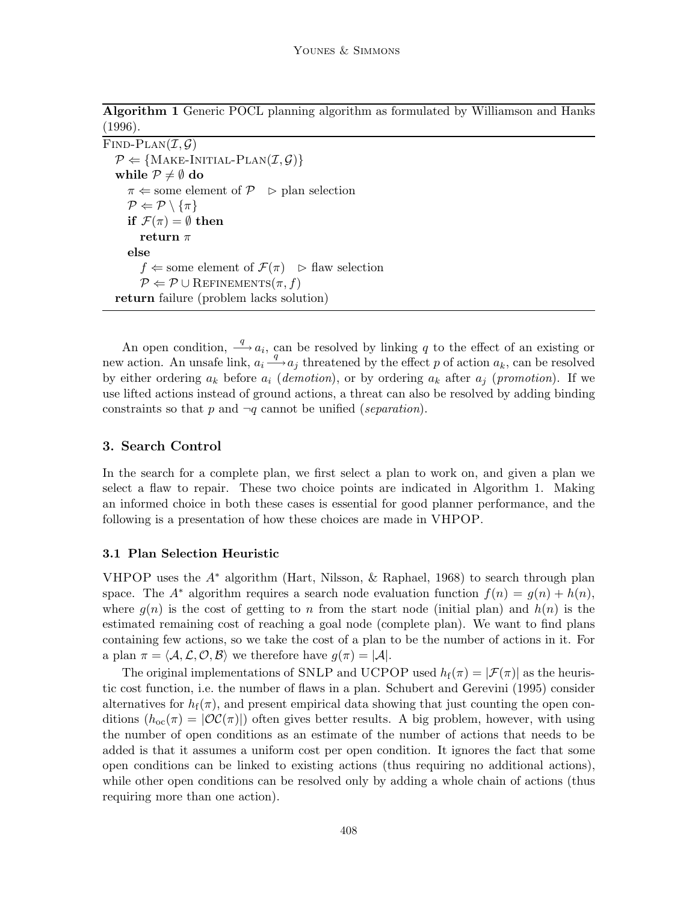**Algorithm 1** Generic POCL planning algorithm as formulated by Williamson and Hanks (1996).

```
FIND-PLAN(\mathcal{I}, \mathcal{G})P \leftarrow \{ \text{MAKE-INITIAL-PLAN}(\mathcal{I}, \mathcal{G}) \}while P \neq \emptyset do
       \pi \leftarrow some element of P \geq plan selection
       \mathcal{P} \Leftarrow \mathcal{P} \setminus \{\pi\}if \mathcal{F}(\pi) = \emptyset then
           return π
       else
           f \leftarrow some element of \mathcal{F}(\pi) \Rightarrow flaw selection
           P \Leftarrow P \cup \text{REFINEMENTS}(\pi, f)return failure (problem lacks solution)
```
An open condition,  $\stackrel{q}{\longrightarrow} a_i$ , can be resolved by linking q to the effect of an existing or new action. An unsafe link,  $a_i \stackrel{q}{\longrightarrow} a_j$  threatened by the effect p of action  $a_k$ , can be resolved by either ordering  $a_k$  before  $a_i$  (*demotion*), or by ordering  $a_k$  after  $a_j$  (*promotion*). If we use lifted actions instead of ground actions, a threat can also be resolved by adding binding constraints so that p and ¬q cannot be unified (*separation*).

## **3. Search Control**

In the search for a complete plan, we first select a plan to work on, and given a plan we select a flaw to repair. These two choice points are indicated in Algorithm 1. Making an informed choice in both these cases is essential for good planner performance, and the following is a presentation of how these choices are made in VHPOP.

### **3.1 Plan Selection Heuristic**

VHPOP uses the  $A^*$  algorithm (Hart, Nilsson, & Raphael, 1968) to search through plan space. The  $A^*$  algorithm requires a search node evaluation function  $f(n) = g(n) + h(n)$ , where  $g(n)$  is the cost of getting to n from the start node (initial plan) and  $h(n)$  is the estimated remaining cost of reaching a goal node (complete plan). We want to find plans containing few actions, so we take the cost of a plan to be the number of actions in it. For a plan  $\pi = \langle A, \mathcal{L}, \mathcal{O}, \mathcal{B} \rangle$  we therefore have  $g(\pi) = |\mathcal{A}|$ .

The original implementations of SNLP and UCPOP used  $h_f(\pi) = |\mathcal{F}(\pi)|$  as the heuristic cost function, i.e. the number of flaws in a plan. Schubert and Gerevini (1995) consider alternatives for  $h_f(\pi)$ , and present empirical data showing that just counting the open conditions  $(h_{oc}(\pi) = |OC(\pi)|)$  often gives better results. A big problem, however, with using the number of open conditions as an estimate of the number of actions that needs to be added is that it assumes a uniform cost per open condition. It ignores the fact that some open conditions can be linked to existing actions (thus requiring no additional actions), while other open conditions can be resolved only by adding a whole chain of actions (thus requiring more than one action).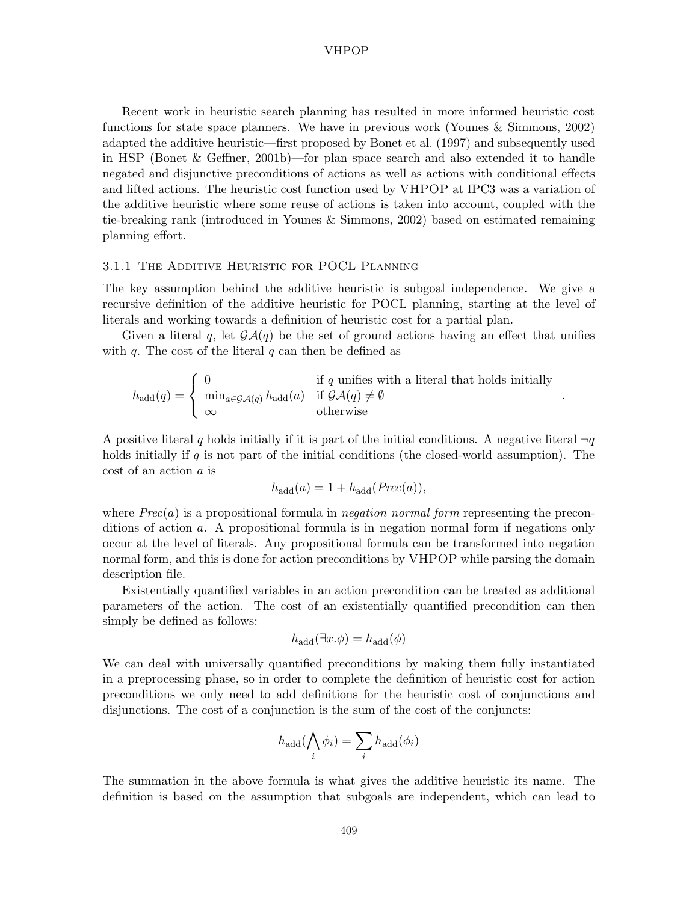Recent work in heuristic search planning has resulted in more informed heuristic cost functions for state space planners. We have in previous work (Younes & Simmons, 2002) adapted the additive heuristic—first proposed by Bonet et al. (1997) and subsequently used in HSP (Bonet & Geffner, 2001b)—for plan space search and also extended it to handle negated and disjunctive preconditions of actions as well as actions with conditional effects and lifted actions. The heuristic cost function used by VHPOP at IPC3 was a variation of the additive heuristic where some reuse of actions is taken into account, coupled with the tie-breaking rank (introduced in Younes & Simmons, 2002) based on estimated remaining planning effort.

## 3.1.1 The Additive Heuristic for POCL Planning

The key assumption behind the additive heuristic is subgoal independence. We give a recursive definition of the additive heuristic for POCL planning, starting at the level of literals and working towards a definition of heuristic cost for a partial plan.

Given a literal q, let  $\mathcal{G}\mathcal{A}(q)$  be the set of ground actions having an effect that unifies with  $q$ . The cost of the literal  $q$  can then be defined as

$$
h_{\text{add}}(q) = \begin{cases} 0 & \text{if } q \text{ unifies with a literal that holds initially} \\ \min_{a \in \mathcal{GA}(q)} h_{\text{add}}(a) & \text{if } \mathcal{GA}(q) \neq \emptyset \\ \infty & \text{otherwise} \end{cases}
$$

.

A positive literal q holds initially if it is part of the initial conditions. A negative literal  $\neg q$ holds initially if q is not part of the initial conditions (the closed-world assumption). The cost of an action a is

$$
h_{\rm add}(a) = 1 + h_{\rm add}(Prec(a)),
$$

where  $Prec(a)$  is a propositional formula in *negation normal form* representing the preconditions of action a. A propositional formula is in negation normal form if negations only occur at the level of literals. Any propositional formula can be transformed into negation normal form, and this is done for action preconditions by VHPOP while parsing the domain description file.

Existentially quantified variables in an action precondition can be treated as additional parameters of the action. The cost of an existentially quantified precondition can then simply be defined as follows:

$$
h_{\rm add}(\exists x.\phi) = h_{\rm add}(\phi)
$$

We can deal with universally quantified preconditions by making them fully instantiated in a preprocessing phase, so in order to complete the definition of heuristic cost for action preconditions we only need to add definitions for the heuristic cost of conjunctions and disjunctions. The cost of a conjunction is the sum of the cost of the conjuncts:

$$
h_{\rm add}(\bigwedge_i \phi_i) = \sum_i h_{\rm add}(\phi_i)
$$

The summation in the above formula is what gives the additive heuristic its name. The definition is based on the assumption that subgoals are independent, which can lead to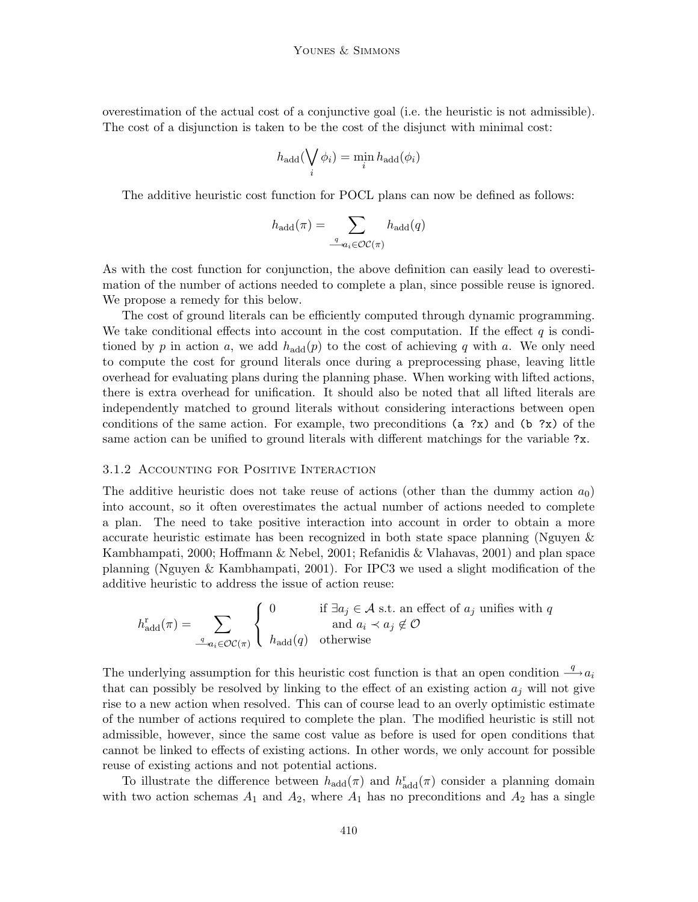overestimation of the actual cost of a conjunctive goal (i.e. the heuristic is not admissible). The cost of a disjunction is taken to be the cost of the disjunct with minimal cost:

$$
h_{\text{add}}(\bigvee_{i} \phi_{i}) = \min_{i} h_{\text{add}}(\phi_{i})
$$

The additive heuristic cost function for POCL plans can now be defined as follows:

$$
h_{\text{add}}(\pi) = \sum_{\underline{q}_{\alpha_i} \in \mathcal{OC}(\pi)} h_{\text{add}}(q)
$$

As with the cost function for conjunction, the above definition can easily lead to overestimation of the number of actions needed to complete a plan, since possible reuse is ignored. We propose a remedy for this below.

The cost of ground literals can be efficiently computed through dynamic programming. We take conditional effects into account in the cost computation. If the effect  $q$  is conditioned by p in action a, we add  $h_{\text{add}}(p)$  to the cost of achieving q with a. We only need to compute the cost for ground literals once during a preprocessing phase, leaving little overhead for evaluating plans during the planning phase. When working with lifted actions, there is extra overhead for unification. It should also be noted that all lifted literals are independently matched to ground literals without considering interactions between open conditions of the same action. For example, two preconditions  $(a ?x)$  and  $(b ?x)$  of the same action can be unified to ground literals with different matchings for the variable ?x.

## 3.1.2 Accounting for Positive Interaction

The additive heuristic does not take reuse of actions (other than the dummy action  $a_0$ ) into account, so it often overestimates the actual number of actions needed to complete a plan. The need to take positive interaction into account in order to obtain a more accurate heuristic estimate has been recognized in both state space planning (Nguyen & Kambhampati, 2000; Hoffmann & Nebel, 2001; Refanidis & Vlahavas, 2001) and plan space planning (Nguyen & Kambhampati, 2001). For IPC3 we used a slight modification of the additive heuristic to address the issue of action reuse:

$$
h_{\text{add}}^{\text{r}}(\pi) = \sum_{\substack{q \ a_i \in \mathcal{OC}(\pi)}} \begin{cases} 0 & \text{if } \exists a_j \in \mathcal{A} \text{ s.t. an effect of } a_j \text{ unifies with } q \\ \text{and } a_i \prec a_j \notin \mathcal{O} \end{cases}
$$

The underlying assumption for this heuristic cost function is that an open condition  $\stackrel{q}{\longrightarrow} a_i$ that can possibly be resolved by linking to the effect of an existing action  $a_j$  will not give rise to a new action when resolved. This can of course lead to an overly optimistic estimate of the number of actions required to complete the plan. The modified heuristic is still not admissible, however, since the same cost value as before is used for open conditions that cannot be linked to effects of existing actions. In other words, we only account for possible reuse of existing actions and not potential actions.

To illustrate the difference between  $h_{\text{add}}(\pi)$  and  $h_{\text{add}}^r(\pi)$  consider a planning domain with two action schemas  $A_1$  and  $A_2$ , where  $A_1$  has no preconditions and  $A_2$  has a single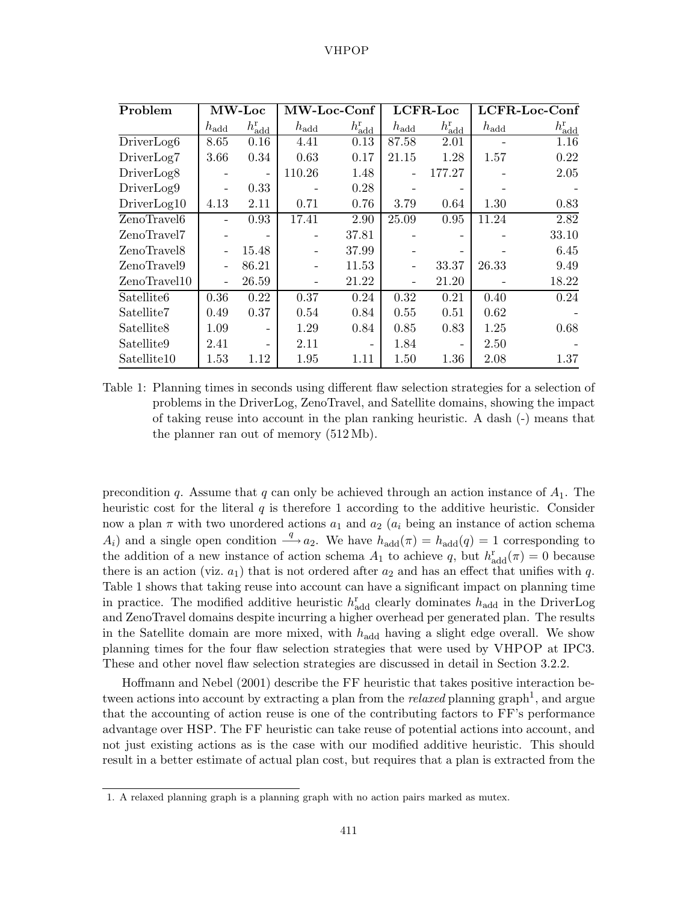| Problem                | <b>MW-Loc</b>    |                             | MW-Loc-Conf      |                       |               | <b>LCFR-Loc</b>             | LCFR-Loc-Conf |                             |
|------------------------|------------------|-----------------------------|------------------|-----------------------|---------------|-----------------------------|---------------|-----------------------------|
|                        | $h_{\text{add}}$ | $h_{\text{add}}^{\text{r}}$ | $h_{\text{add}}$ | $h^{\rm r}_{\rm add}$ | $h_{\rm add}$ | $h_{\text{add}}^{\text{r}}$ | $h_{\rm add}$ | $h_{\text{add}}^{\text{r}}$ |
| DriverLog <sub>6</sub> | 8.65             | 0.16                        | 4.41             | 0.13                  | 87.58         | 2.01                        |               | 1.16                        |
| DriverLog7             | 3.66             | 0.34                        | 0.63             | 0.17                  | 21.15         | 1.28                        | 1.57          | 0.22                        |
| DriverLog <sub>8</sub> |                  | $\overline{\phantom{0}}$    | 110.26           | 1.48                  |               | 177.27                      |               | 2.05                        |
| DriverLog9             |                  | 0.33                        |                  | 0.28                  |               | $\overline{\phantom{0}}$    |               |                             |
| DirierLog10            | 4.13             | 2.11                        | 0.71             | 0.76                  | 3.79          | 0.64                        | 1.30          | 0.83                        |
| ZenoTravel6            |                  | 0.93                        | 17.41            | 2.90                  | 25.09         | 0.95                        | 11.24         | 2.82                        |
| ZenoTravel7            |                  | $\qquad \qquad -$           |                  | 37.81                 |               |                             |               | 33.10                       |
| ZenoTravel8            |                  | 15.48                       |                  | 37.99                 |               |                             |               | 6.45                        |
| ZenoTravel9            |                  | 86.21                       |                  | 11.53                 |               | 33.37                       | 26.33         | 9.49                        |
| ZenoTravel10           |                  | 26.59                       |                  | 21.22                 |               | 21.20                       |               | 18.22                       |
| Satellite <sub>6</sub> | 0.36             | 0.22                        | 0.37             | 0.24                  | 0.32          | 0.21                        | 0.40          | 0.24                        |
| Satellite7             | 0.49             | 0.37                        | 0.54             | 0.84                  | 0.55          | 0.51                        | 0.62          |                             |
| Satellite8             | 1.09             | $\qquad \qquad -$           | 1.29             | 0.84                  | 0.85          | 0.83                        | 1.25          | 0.68                        |
| Satellite9             | 2.41             | $\qquad \qquad -$           | 2.11             |                       | 1.84          |                             | 2.50          |                             |
| Satellite10            | 1.53             | 1.12                        | 1.95             | 1.11                  | 1.50          | 1.36                        | 2.08          | 1.37                        |

Table 1: Planning times in seconds using different flaw selection strategies for a selection of problems in the DriverLog, ZenoTravel, and Satellite domains, showing the impact of taking reuse into account in the plan ranking heuristic. A dash (-) means that the planner ran out of memory (512 Mb).

precondition q. Assume that q can only be achieved through an action instance of  $A_1$ . The heuristic cost for the literal  $q$  is therefore 1 according to the additive heuristic. Consider now a plan  $\pi$  with two unordered actions  $a_1$  and  $a_2$  ( $a_i$  being an instance of action schema  $A_i$ ) and a single open condition  $\stackrel{q}{\longrightarrow} a_2$ . We have  $h_{\text{add}}(\pi) = h_{\text{add}}(q) = 1$  corresponding to the addition of a new instance of action schema  $A_1$  to achieve q, but  $h_{\text{add}}^r(\pi) = 0$  because there is an action (viz.  $a_1$ ) that is not ordered after  $a_2$  and has an effect that unifies with q. Table 1 shows that taking reuse into account can have a significant impact on planning time in practice. The modified additive heuristic  $h_{\text{add}}^{\text{r}}$  clearly dominates  $h_{\text{add}}$  in the DriverLog and ZenoTravel domains despite incurring a higher overhead per generated plan. The results in the Satellite domain are more mixed, with  $h_{\text{add}}$  having a slight edge overall. We show planning times for the four flaw selection strategies that were used by VHPOP at IPC3. These and other novel flaw selection strategies are discussed in detail in Section 3.2.2.

Hoffmann and Nebel (2001) describe the FF heuristic that takes positive interaction between actions into account by extracting a plan from the *relaxed* planning graph<sup>1</sup>, and argue that the accounting of action reuse is one of the contributing factors to FF's performance advantage over HSP. The FF heuristic can take reuse of potential actions into account, and not just existing actions as is the case with our modified additive heuristic. This should result in a better estimate of actual plan cost, but requires that a plan is extracted from the

<sup>1.</sup> A relaxed planning graph is a planning graph with no action pairs marked as mutex.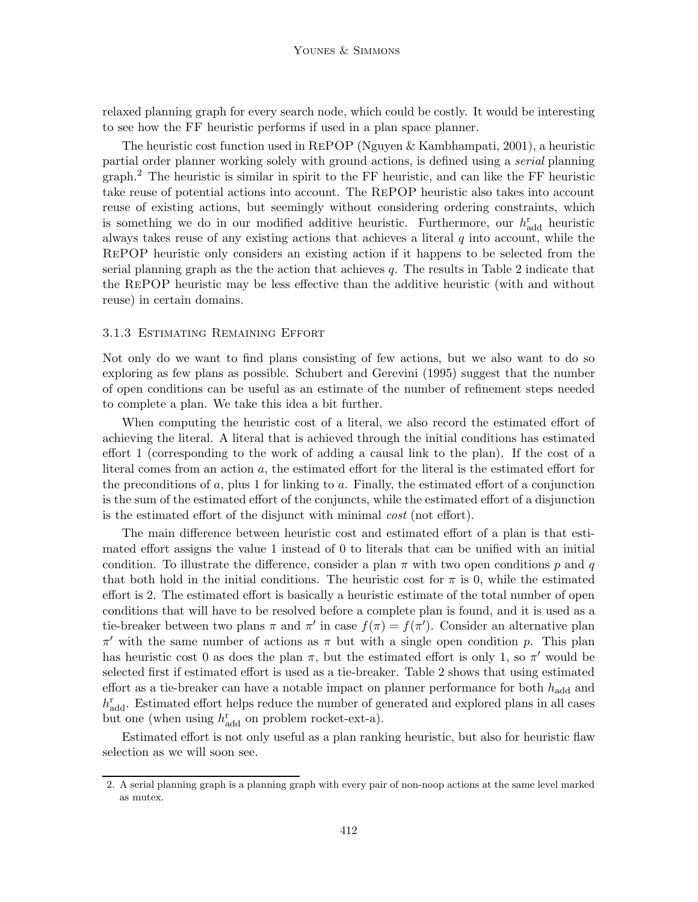relaxed planning graph for every search node, which could be costly. It would be interesting to see how the FF heuristic performs if used in a plan space planner.

The heuristic cost function used in RePOP (Nguyen & Kambhampati, 2001), a heuristic partial order planner working solely with ground actions, is defined using a *serial* planning graph.<sup>2</sup> The heuristic is similar in spirit to the FF heuristic, and can like the FF heuristic take reuse of potential actions into account. The RePOP heuristic also takes into account reuse of existing actions, but seemingly without considering ordering constraints, which is something we do in our modified additive heuristic. Furthermore, our  $h_{\text{add}}^{\text{r}}$  heuristic always takes reuse of any existing actions that achieves a literal  $q$  into account, while the RePOP heuristic only considers an existing action if it happens to be selected from the serial planning graph as the the action that achieves  $q$ . The results in Table 2 indicate that the RePOP heuristic may be less effective than the additive heuristic (with and without reuse) in certain domains.

#### 3.1.3 Estimating Remaining Effort

Not only do we want to find plans consisting of few actions, but we also want to do so exploring as few plans as possible. Schubert and Gerevini (1995) suggest that the number of open conditions can be useful as an estimate of the number of refinement steps needed to complete a plan. We take this idea a bit further.

When computing the heuristic cost of a literal, we also record the estimated effort of achieving the literal. A literal that is achieved through the initial conditions has estimated effort 1 (corresponding to the work of adding a causal link to the plan). If the cost of a literal comes from an action a, the estimated effort for the literal is the estimated effort for the preconditions of  $a$ , plus 1 for linking to  $a$ . Finally, the estimated effort of a conjunction is the sum of the estimated effort of the conjuncts, while the estimated effort of a disjunction is the estimated effort of the disjunct with minimal *cost* (not effort).

The main difference between heuristic cost and estimated effort of a plan is that estimated effort assigns the value 1 instead of 0 to literals that can be unified with an initial condition. To illustrate the difference, consider a plan  $\pi$  with two open conditions p and q that both hold in the initial conditions. The heuristic cost for  $\pi$  is 0, while the estimated effort is 2. The estimated effort is basically a heuristic estimate of the total number of open conditions that will have to be resolved before a complete plan is found, and it is used as a tie-breaker between two plans  $\pi$  and  $\pi'$  in case  $f(\pi) = f(\pi')$ . Consider an alternative plan  $π'$  with the same number of actions as π but with a single open condition p. This plan has heuristic cost 0 as does the plan  $\pi$ , but the estimated effort is only 1, so  $\pi'$  would be selected first if estimated effort is used as a tie-breaker. Table 2 shows that using estimated effort as a tie-breaker can have a notable impact on planner performance for both  $h_{\text{add}}$  and  $h_{\text{add}}^{\text{r}}$ . Estimated effort helps reduce the number of generated and explored plans in all cases but one (when using  $h_{\text{add}}^{\text{r}}$  on problem rocket-ext-a).

Estimated effort is not only useful as a plan ranking heuristic, but also for heuristic flaw selection as we will soon see.

<sup>2.</sup> A serial planning graph is a planning graph with every pair of non-noop actions at the same level marked as mutex.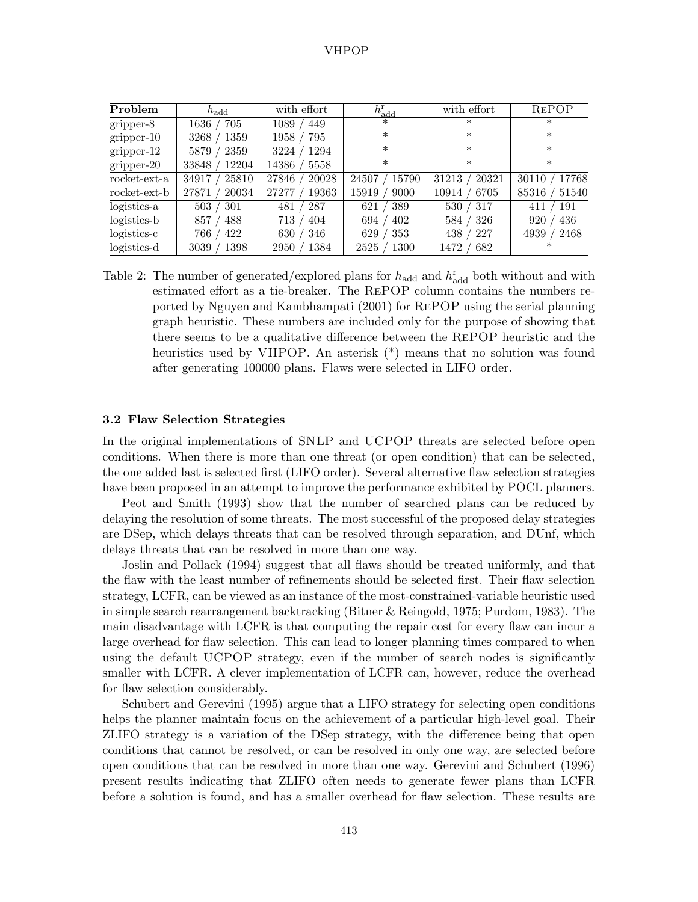| Problem       | $h_{\text{add}}$ | with effort    | $h^{\rm r}_{\rm add}$ | with effort              | <b>REPOP</b>   |
|---------------|------------------|----------------|-----------------------|--------------------------|----------------|
| gripper-8     | 705<br>$1636\,$  | 449<br>1089    | $\ast$                | ∗                        | $\ast$         |
| $gripper-10$  | 1359<br>3268     | 1958<br>795    | $\ast$                | $\ast$                   | $\ast$         |
| $gripper-12$  | 2359<br>5879     | 1294<br>3224   | $\ast$                | $\ast$                   | $\ast$         |
| gripper-20    | 12204<br>33848   | 14386<br>5558  | $\ast$                | $\ast$                   | $\ast$         |
| rocket-ext-a  | 25810<br>34917   | 20028<br>27846 | 24507<br>15790        | 20321<br>31213           | 17768<br>30110 |
| rocket-ext-b  | 20034<br>27871   | 19363<br>27277 | 9000<br>15919         | 10914<br>6705            | 51540<br>85316 |
| logistics-a   | 503<br>301       | 287<br>481     | 389<br>621            | 530/<br>317              | 191<br>411     |
| logistics-b   | 488<br>857       | 404<br>713     | 402<br>694            | $^{\prime}~326$<br>584 / | 436<br>920     |
| $logistics-c$ | 422<br>766       | 630<br>346     | 353<br>629            | 227<br>438               | 2468<br>4939   |
| logistics-d   | 1398<br>3039     | 1384<br>2950   | 2525<br>1300          | 682<br>1472              | $\ast$         |

Table 2: The number of generated/explored plans for  $h_{\text{add}}$  and  $h_{\text{add}}^{\text{r}}$  both without and with estimated effort as a tie-breaker. The RePOP column contains the numbers reported by Nguyen and Kambhampati (2001) for RePOP using the serial planning graph heuristic. These numbers are included only for the purpose of showing that there seems to be a qualitative difference between the RePOP heuristic and the heuristics used by VHPOP. An asterisk (\*) means that no solution was found after generating 100000 plans. Flaws were selected in LIFO order.

## **3.2 Flaw Selection Strategies**

In the original implementations of SNLP and UCPOP threats are selected before open conditions. When there is more than one threat (or open condition) that can be selected, the one added last is selected first (LIFO order). Several alternative flaw selection strategies have been proposed in an attempt to improve the performance exhibited by POCL planners.

Peot and Smith (1993) show that the number of searched plans can be reduced by delaying the resolution of some threats. The most successful of the proposed delay strategies are DSep, which delays threats that can be resolved through separation, and DUnf, which delays threats that can be resolved in more than one way.

Joslin and Pollack (1994) suggest that all flaws should be treated uniformly, and that the flaw with the least number of refinements should be selected first. Their flaw selection strategy, LCFR, can be viewed as an instance of the most-constrained-variable heuristic used in simple search rearrangement backtracking (Bitner & Reingold, 1975; Purdom, 1983). The main disadvantage with LCFR is that computing the repair cost for every flaw can incur a large overhead for flaw selection. This can lead to longer planning times compared to when using the default UCPOP strategy, even if the number of search nodes is significantly smaller with LCFR. A clever implementation of LCFR can, however, reduce the overhead for flaw selection considerably.

Schubert and Gerevini (1995) argue that a LIFO strategy for selecting open conditions helps the planner maintain focus on the achievement of a particular high-level goal. Their ZLIFO strategy is a variation of the DSep strategy, with the difference being that open conditions that cannot be resolved, or can be resolved in only one way, are selected before open conditions that can be resolved in more than one way. Gerevini and Schubert (1996) present results indicating that ZLIFO often needs to generate fewer plans than LCFR before a solution is found, and has a smaller overhead for flaw selection. These results are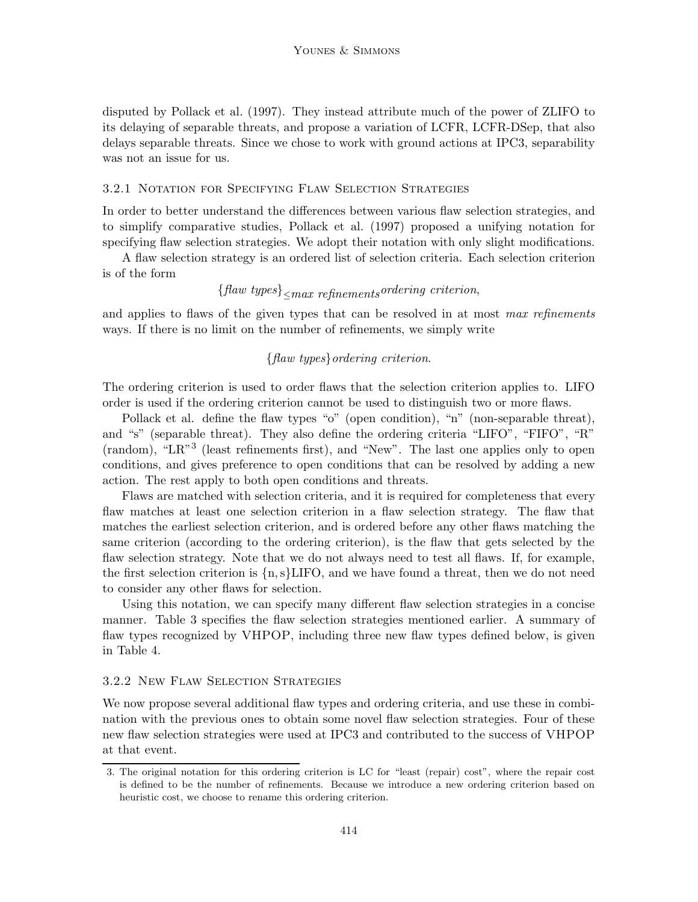disputed by Pollack et al. (1997). They instead attribute much of the power of ZLIFO to its delaying of separable threats, and propose a variation of LCFR, LCFR-DSep, that also delays separable threats. Since we chose to work with ground actions at IPC3, separability was not an issue for us.

## 3.2.1 Notation for Specifying Flaw Selection Strategies

In order to better understand the differences between various flaw selection strategies, and to simplify comparative studies, Pollack et al. (1997) proposed a unifying notation for specifying flaw selection strategies. We adopt their notation with only slight modifications.

A flaw selection strategy is an ordered list of selection criteria. Each selection criterion is of the form

# {*flaw types*}≤*max refinementsordering criterion*,

and applies to flaws of the given types that can be resolved in at most *max refinements* ways. If there is no limit on the number of refinements, we simply write

## {*flaw types*}*ordering criterion*.

The ordering criterion is used to order flaws that the selection criterion applies to. LIFO order is used if the ordering criterion cannot be used to distinguish two or more flaws.

Pollack et al. define the flaw types "o" (open condition), "n" (non-separable threat), and "s" (separable threat). They also define the ordering criteria "LIFO", "FIFO", "R" (random), "LR"<sup>3</sup> (least refinements first), and "New". The last one applies only to open conditions, and gives preference to open conditions that can be resolved by adding a new action. The rest apply to both open conditions and threats.

Flaws are matched with selection criteria, and it is required for completeness that every flaw matches at least one selection criterion in a flaw selection strategy. The flaw that matches the earliest selection criterion, and is ordered before any other flaws matching the same criterion (according to the ordering criterion), is the flaw that gets selected by the flaw selection strategy. Note that we do not always need to test all flaws. If, for example, the first selection criterion is  $\{n, s\}$ LIFO, and we have found a threat, then we do not need to consider any other flaws for selection.

Using this notation, we can specify many different flaw selection strategies in a concise manner. Table 3 specifies the flaw selection strategies mentioned earlier. A summary of flaw types recognized by VHPOP, including three new flaw types defined below, is given in Table 4.

## 3.2.2 New Flaw Selection Strategies

We now propose several additional flaw types and ordering criteria, and use these in combination with the previous ones to obtain some novel flaw selection strategies. Four of these new flaw selection strategies were used at IPC3 and contributed to the success of VHPOP at that event.

<sup>3.</sup> The original notation for this ordering criterion is LC for "least (repair) cost", where the repair cost is defined to be the number of refinements. Because we introduce a new ordering criterion based on heuristic cost, we choose to rename this ordering criterion.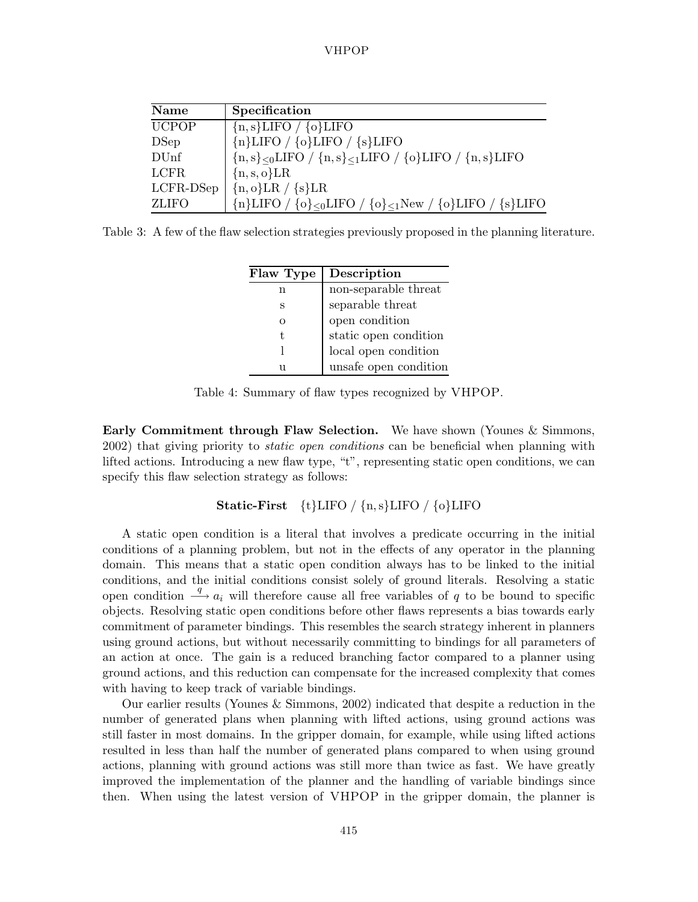| Name         | Specification                                                                                 |
|--------------|-----------------------------------------------------------------------------------------------|
| <b>UCPOP</b> | ${n, s}$ LIFO / ${o}$ LIFO                                                                    |
| DSep         | ${nLIFO / {o}LIFO / {s}LIFO}$                                                                 |
| DUnf         | ${n,s}_{\leq 0}$ LIFO / ${n,s}_{\leq 1}$ LIFO / ${o}_{\text{LL}}$ EO / ${n,s}_{\text{LL}}$ FO |
| <b>LCFR</b>  | ${n, s, o}LR$                                                                                 |
| LCFR-DSep    | ${n, o}LR / {s}LR$                                                                            |
| <b>ZLIFO</b> | ${n}{LIFO / {o} oLIFO / {o} 1New / {o} LIFO / {s} LIFO}$                                      |

Table 3: A few of the flaw selection strategies previously proposed in the planning literature.

| Flaw Type | Description           |
|-----------|-----------------------|
| n         | non-separable threat  |
| S         | separable threat      |
| $\Omega$  | open condition        |
| t,        | static open condition |
|           | local open condition  |
| 11        | unsafe open condition |

Table 4: Summary of flaw types recognized by VHPOP.

**Early Commitment through Flaw Selection.** We have shown (Younes & Simmons, 2002) that giving priority to *static open conditions* can be beneficial when planning with lifted actions. Introducing a new flaw type, "t", representing static open conditions, we can specify this flaw selection strategy as follows:

**Static-First** {t}LIFO / {n,s}LIFO / {o}LIFO

A static open condition is a literal that involves a predicate occurring in the initial conditions of a planning problem, but not in the effects of any operator in the planning domain. This means that a static open condition always has to be linked to the initial conditions, and the initial conditions consist solely of ground literals. Resolving a static open condition  $\stackrel{q}{\longrightarrow} a_i$  will therefore cause all free variables of q to be bound to specific objects. Resolving static open conditions before other flaws represents a bias towards early commitment of parameter bindings. This resembles the search strategy inherent in planners using ground actions, but without necessarily committing to bindings for all parameters of an action at once. The gain is a reduced branching factor compared to a planner using ground actions, and this reduction can compensate for the increased complexity that comes with having to keep track of variable bindings.

Our earlier results (Younes & Simmons, 2002) indicated that despite a reduction in the number of generated plans when planning with lifted actions, using ground actions was still faster in most domains. In the gripper domain, for example, while using lifted actions resulted in less than half the number of generated plans compared to when using ground actions, planning with ground actions was still more than twice as fast. We have greatly improved the implementation of the planner and the handling of variable bindings since then. When using the latest version of VHPOP in the gripper domain, the planner is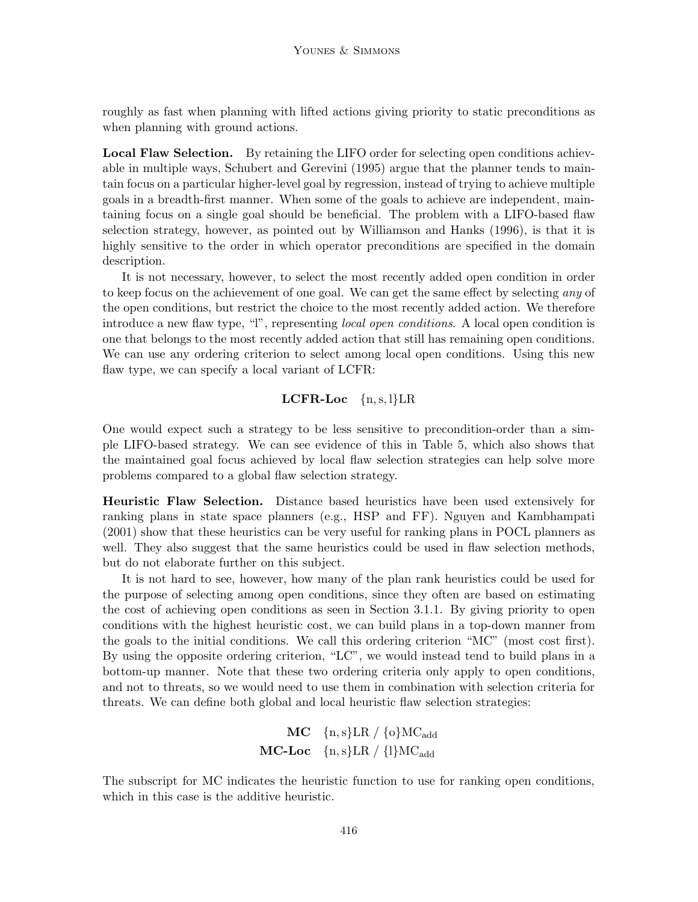roughly as fast when planning with lifted actions giving priority to static preconditions as when planning with ground actions.

**Local Flaw Selection.** By retaining the LIFO order for selecting open conditions achievable in multiple ways, Schubert and Gerevini (1995) argue that the planner tends to maintain focus on a particular higher-level goal by regression, instead of trying to achieve multiple goals in a breadth-first manner. When some of the goals to achieve are independent, maintaining focus on a single goal should be beneficial. The problem with a LIFO-based flaw selection strategy, however, as pointed out by Williamson and Hanks (1996), is that it is highly sensitive to the order in which operator preconditions are specified in the domain description.

It is not necessary, however, to select the most recently added open condition in order to keep focus on the achievement of one goal. We can get the same effect by selecting *any* of the open conditions, but restrict the choice to the most recently added action. We therefore introduce a new flaw type, "l", representing *local open conditions*. A local open condition is one that belongs to the most recently added action that still has remaining open conditions. We can use any ordering criterion to select among local open conditions. Using this new flaw type, we can specify a local variant of LCFR:

## **LCFR-Loc** {n,s, l}LR

One would expect such a strategy to be less sensitive to precondition-order than a simple LIFO-based strategy. We can see evidence of this in Table 5, which also shows that the maintained goal focus achieved by local flaw selection strategies can help solve more problems compared to a global flaw selection strategy.

**Heuristic Flaw Selection.** Distance based heuristics have been used extensively for ranking plans in state space planners (e.g., HSP and FF). Nguyen and Kambhampati (2001) show that these heuristics can be very useful for ranking plans in POCL planners as well. They also suggest that the same heuristics could be used in flaw selection methods, but do not elaborate further on this subject.

It is not hard to see, however, how many of the plan rank heuristics could be used for the purpose of selecting among open conditions, since they often are based on estimating the cost of achieving open conditions as seen in Section 3.1.1. By giving priority to open conditions with the highest heuristic cost, we can build plans in a top-down manner from the goals to the initial conditions. We call this ordering criterion "MC" (most cost first). By using the opposite ordering criterion, "LC", we would instead tend to build plans in a bottom-up manner. Note that these two ordering criteria only apply to open conditions, and not to threats, so we would need to use them in combination with selection criteria for threats. We can define both global and local heuristic flaw selection strategies:

$$
\begin{array}{rl} \textbf{MC} & \{ \text{n}, \text{s} \} \textbf{LR} \; / \; \{ \text{o} \} \textbf{MC}_{\text{add}} \\ \textbf{MC-Loc} & \{ \text{n}, \text{s} \} \textbf{LR} \; / \; \{ \text{l} \} \textbf{MC}_{\text{add}} \end{array}
$$

The subscript for MC indicates the heuristic function to use for ranking open conditions, which in this case is the additive heuristic.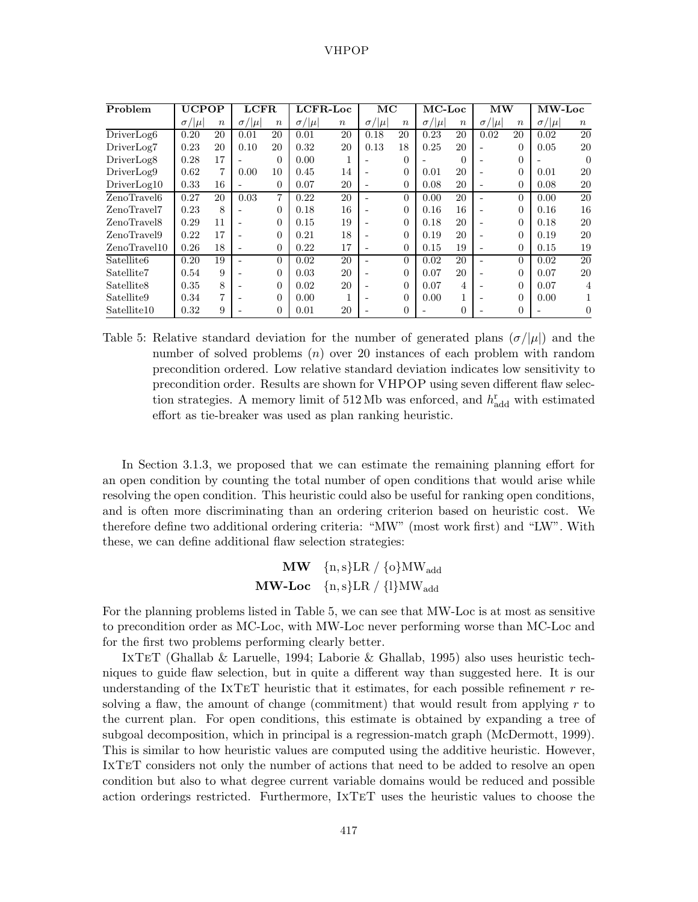| Problem                                     | <b>UCPOP</b>   |                  | <b>LCFR</b>    |                  | LCFR-Loc       |                  | MC                           |                  | $MC$ -Loc      |                  | $\mathbf{M}\mathbf{W}$ |                  | <b>MW-Loc</b>  |                  |
|---------------------------------------------|----------------|------------------|----------------|------------------|----------------|------------------|------------------------------|------------------|----------------|------------------|------------------------|------------------|----------------|------------------|
|                                             | $\sigma/ \mu $ | $\boldsymbol{n}$ | $\sigma/ \mu $ | $\boldsymbol{n}$ | $\sigma/ \mu $ | $\boldsymbol{n}$ | $\sigma/ \mu $               | $\boldsymbol{n}$ | $\sigma/ \mu $ | $\boldsymbol{n}$ | $\sigma/ \mu $         | $\boldsymbol{n}$ | $\sigma/ \mu $ | $\boldsymbol{n}$ |
| $\overline{\text{Direct}}$ Log <sub>6</sub> | 0.20           | 20               | 0.01           | 20               | 0.01           | 20               | 0.18                         | 20               | 0.23           | 20               | 0.02                   | 20               | 0.02           | 20               |
| DriverLog7                                  | 0.23           | 20               | 0.10           | 20               | 0.32           | 20               | 0.13                         | 18               | 0.25           | 20               |                        | $\Omega$         | 0.05           | 20               |
| DriverLog <sub>8</sub>                      | 0.28           | 17               |                | $\theta$         | 0.00           |                  |                              | $\theta$         |                | $\theta$         |                        | $\theta$         |                | $\theta$         |
| DirierLog9                                  | 0.62           | 7                | 0.00           | 10               | 0.45           | 14               | $\overline{\phantom{a}}$     | $\overline{0}$   | 0.01           | 20               |                        | $\Omega$         | 0.01           | 20               |
| DirierLog10                                 | 0.33           | 16               |                | $\Omega$         | 0.07           | 20               | $\qquad \qquad \blacksquare$ | $\theta$         | 0.08           | 20               |                        | $\Omega$         | 0.08           | 20               |
| ZenoTravel6                                 | 0.27           | 20               | 0.03           | 7                | 0.22           | 20               |                              | $\theta$         | 0.00           | 20               |                        | $\Omega$         | 0.00           | 20               |
| ZenoTravel7                                 | 0.23           | 8                |                | $\Omega$         | 0.18           | 16               |                              | $\overline{0}$   | 0.16           | 16               |                        | $\Omega$         | 0.16           | 16               |
| ZenoTravel8                                 | 0.29           | 11               |                | $\Omega$         | 0.15           | 19               |                              | $\overline{0}$   | 0.18           | 20               |                        | $\Omega$         | 0.18           | 20               |
| ZenoTravel9                                 | 0.22           | 17               |                | $\Omega$         | 0.21           | 18               | $\overline{\phantom{a}}$     | $\theta$         | 0.19           | 20               |                        | $\Omega$         | 0.19           | 20               |
| ZenoTravel10                                | 0.26           | 18               |                | $\Omega$         | 0.22           | 17               | $\overline{\phantom{a}}$     | $\overline{0}$   | 0.15           | 19               |                        | $\Omega$         | 0.15           | 19               |
| Satellite <sub>6</sub>                      | 0.20           | 19               |                | $\Omega$         | 0.02           | 20               |                              | $\Omega$         | 0.02           | 20               |                        | $\Omega$         | 0.02           | 20               |
| Satellite7                                  | 0.54           | 9                |                | $\Omega$         | 0.03           | 20               |                              | $\overline{0}$   | 0.07           | 20               |                        | $\Omega$         | 0.07           | 20               |
| Satellite <sub>8</sub>                      | 0.35           | 8                |                | $\Omega$         | 0.02           | 20               |                              | $\overline{0}$   | 0.07           | 4                |                        | $\Omega$         | 0.07           | 4                |
| Satellite9                                  | 0.34           | 7                |                | $\Omega$         | 0.00           |                  |                              | $\overline{0}$   | 0.00           | 1                |                        | $\Omega$         | 0.00           |                  |
| Satellite10                                 | 0.32           | 9                |                | $\Omega$         | 0.01           | 20               |                              | $\theta$         |                | $\Omega$         |                        | $\Omega$         |                | 0                |

Table 5: Relative standard deviation for the number of generated plans  $(\sigma/|\mu|)$  and the number of solved problems  $(n)$  over 20 instances of each problem with random precondition ordered. Low relative standard deviation indicates low sensitivity to precondition order. Results are shown for VHPOP using seven different flaw selection strategies. A memory limit of  $512 \text{ Mb}$  was enforced, and  $h^{\text{r}}_{\text{add}}$  with estimated effort as tie-breaker was used as plan ranking heuristic.

In Section 3.1.3, we proposed that we can estimate the remaining planning effort for an open condition by counting the total number of open conditions that would arise while resolving the open condition. This heuristic could also be useful for ranking open conditions, and is often more discriminating than an ordering criterion based on heuristic cost. We therefore define two additional ordering criteria: "MW" (most work first) and "LW". With these, we can define additional flaw selection strategies:

```
MW \{n, s\}LR / \{o\}MW<sub>add</sub>
MW-Loc \{n, s\}LR / \{l\}MW<sub>add</sub>
```
For the planning problems listed in Table 5, we can see that MW-Loc is at most as sensitive to precondition order as MC-Loc, with MW-Loc never performing worse than MC-Loc and for the first two problems performing clearly better.

IxTeT (Ghallab & Laruelle, 1994; Laborie & Ghallab, 1995) also uses heuristic techniques to guide flaw selection, but in quite a different way than suggested here. It is our understanding of the IXTET heuristic that it estimates, for each possible refinement  $r$  resolving a flaw, the amount of change (commitment) that would result from applying  $r$  to the current plan. For open conditions, this estimate is obtained by expanding a tree of subgoal decomposition, which in principal is a regression-match graph (McDermott, 1999). This is similar to how heuristic values are computed using the additive heuristic. However, IxTeT considers not only the number of actions that need to be added to resolve an open condition but also to what degree current variable domains would be reduced and possible action orderings restricted. Furthermore, IxTeT uses the heuristic values to choose the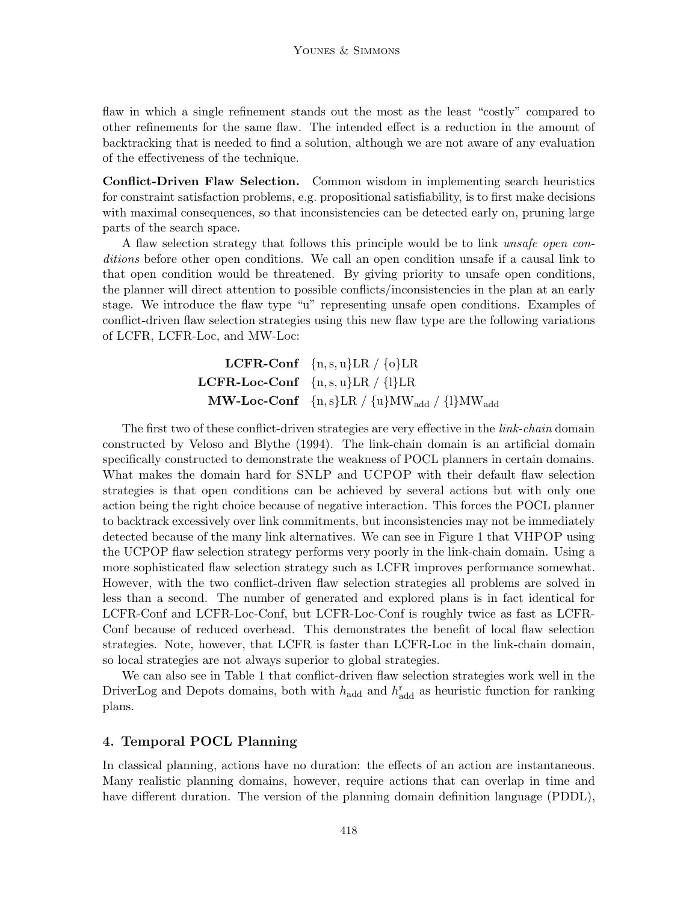flaw in which a single refinement stands out the most as the least "costly" compared to other refinements for the same flaw. The intended effect is a reduction in the amount of backtracking that is needed to find a solution, although we are not aware of any evaluation of the effectiveness of the technique.

**Conflict-Driven Flaw Selection.** Common wisdom in implementing search heuristics for constraint satisfaction problems, e.g. propositional satisfiability, is to first make decisions with maximal consequences, so that inconsistencies can be detected early on, pruning large parts of the search space.

A flaw selection strategy that follows this principle would be to link *unsafe open conditions* before other open conditions. We call an open condition unsafe if a causal link to that open condition would be threatened. By giving priority to unsafe open conditions, the planner will direct attention to possible conflicts/inconsistencies in the plan at an early stage. We introduce the flaw type "u" representing unsafe open conditions. Examples of conflict-driven flaw selection strategies using this new flaw type are the following variations of LCFR, LCFR-Loc, and MW-Loc:

> **LCFR-Conf**  $\{n, s, u\}$ LR /  $\{o\}$ LR **LCFR-Loc-Conf**  $\{n, s, u\}$ LR /  $\{l\}$ LR  $\textbf{MW-Loc-Conf} \quad \{n,s\} \text{LR} / \{u\} \text{MW}$ <sub>add</sub> / {l}MW<sub>add</sub>

The first two of these conflict-driven strategies are very effective in the *link-chain* domain constructed by Veloso and Blythe (1994). The link-chain domain is an artificial domain specifically constructed to demonstrate the weakness of POCL planners in certain domains. What makes the domain hard for SNLP and UCPOP with their default flaw selection strategies is that open conditions can be achieved by several actions but with only one action being the right choice because of negative interaction. This forces the POCL planner to backtrack excessively over link commitments, but inconsistencies may not be immediately detected because of the many link alternatives. We can see in Figure 1 that VHPOP using the UCPOP flaw selection strategy performs very poorly in the link-chain domain. Using a more sophisticated flaw selection strategy such as LCFR improves performance somewhat. However, with the two conflict-driven flaw selection strategies all problems are solved in less than a second. The number of generated and explored plans is in fact identical for LCFR-Conf and LCFR-Loc-Conf, but LCFR-Loc-Conf is roughly twice as fast as LCFR-Conf because of reduced overhead. This demonstrates the benefit of local flaw selection strategies. Note, however, that LCFR is faster than LCFR-Loc in the link-chain domain, so local strategies are not always superior to global strategies.

We can also see in Table 1 that conflict-driven flaw selection strategies work well in the DriverLog and Depots domains, both with  $h_{\text{add}}$  and  $h_{\text{add}}^{\text{r}}$  as heuristic function for ranking plans.

## **4. Temporal POCL Planning**

In classical planning, actions have no duration: the effects of an action are instantaneous. Many realistic planning domains, however, require actions that can overlap in time and have different duration. The version of the planning domain definition language (PDDL),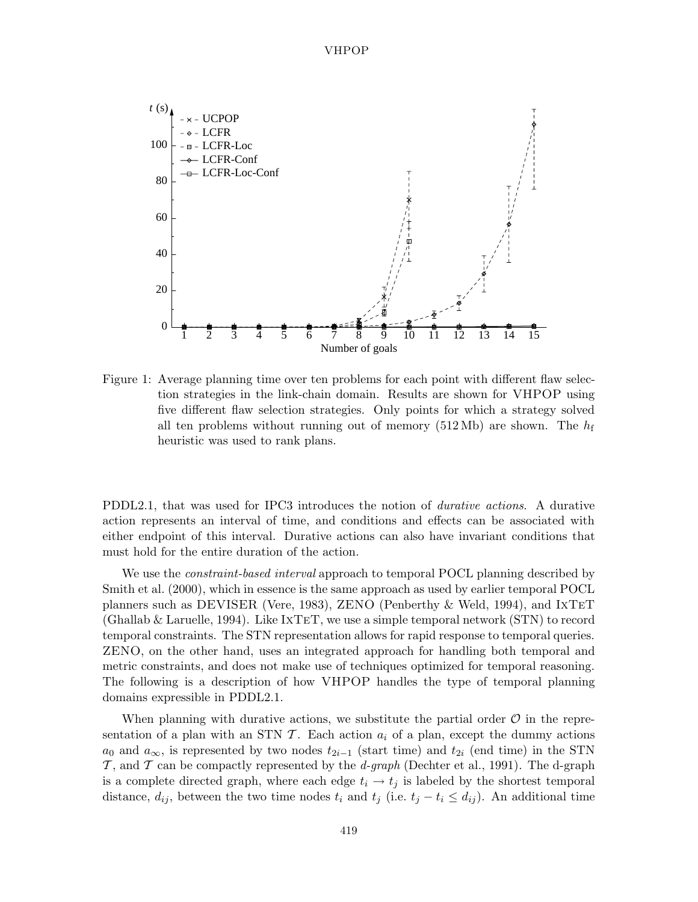

Figure 1: Average planning time over ten problems for each point with different flaw selection strategies in the link-chain domain. Results are shown for VHPOP using five different flaw selection strategies. Only points for which a strategy solved all ten problems without running out of memory (512 Mb) are shown. The  $h_f$ heuristic was used to rank plans.

PDDL2.1, that was used for IPC3 introduces the notion of *durative actions*. A durative action represents an interval of time, and conditions and effects can be associated with either endpoint of this interval. Durative actions can also have invariant conditions that must hold for the entire duration of the action.

We use the *constraint-based interval* approach to temporal POCL planning described by Smith et al. (2000), which in essence is the same approach as used by earlier temporal POCL planners such as DEVISER (Vere, 1983), ZENO (Penberthy & Weld, 1994), and IxTeT (Ghallab & Laruelle, 1994). Like IxTeT, we use a simple temporal network (STN) to record temporal constraints. The STN representation allows for rapid response to temporal queries. ZENO, on the other hand, uses an integrated approach for handling both temporal and metric constraints, and does not make use of techniques optimized for temporal reasoning. The following is a description of how VHPOP handles the type of temporal planning domains expressible in PDDL2.1.

When planning with durative actions, we substitute the partial order  $\mathcal O$  in the representation of a plan with an STN  $\mathcal T$ . Each action  $a_i$  of a plan, except the dummy actions  $a_0$  and  $a_{\infty}$ , is represented by two nodes  $t_{2i-1}$  (start time) and  $t_{2i}$  (end time) in the STN T , and T can be compactly represented by the *d-graph* (Dechter et al., 1991). The d-graph is a complete directed graph, where each edge  $t_i \rightarrow t_j$  is labeled by the shortest temporal distance,  $d_{ij}$ , between the two time nodes  $t_i$  and  $t_j$  (i.e.  $t_j - t_i \leq d_{ij}$ ). An additional time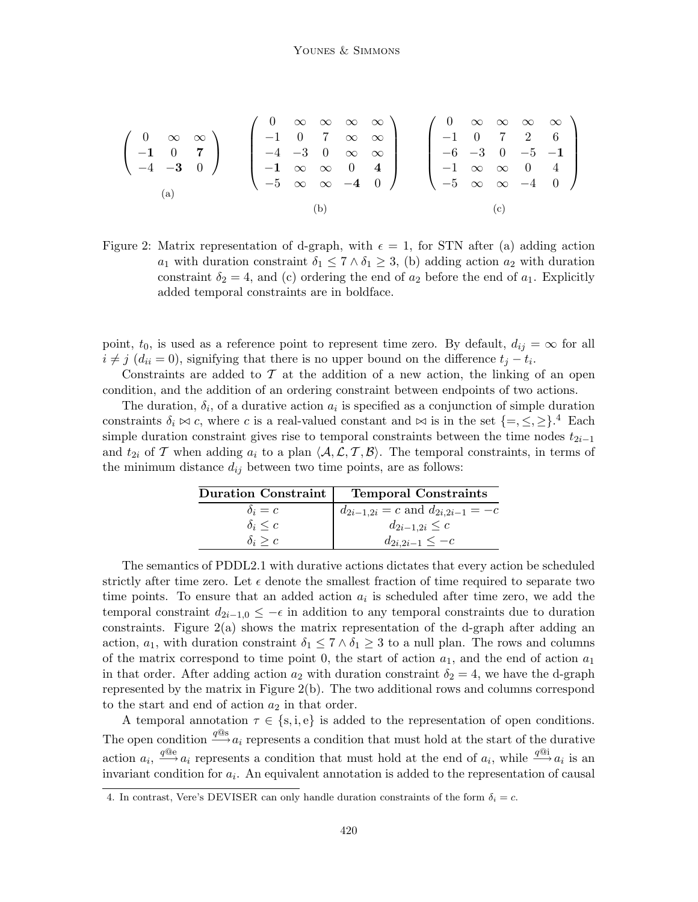$$
\begin{pmatrix}\n0 & \infty & \infty \\
-1 & 0 & 7 \\
-4 & -3 & 0\n\end{pmatrix}\n\qquad\n\begin{pmatrix}\n0 & \infty & \infty & \infty & \infty \\
-1 & 0 & 7 & \infty & \infty \\
-4 & -3 & 0 & \infty & \infty \\
-5 & \infty & \infty & -4 & 0\n\end{pmatrix}\n\qquad\n\begin{pmatrix}\n0 & \infty & \infty & \infty & \infty \\
-1 & 0 & 7 & 2 & 6 \\
-6 & -3 & 0 & -5 & -1 \\
-1 & \infty & \infty & 0 & 4 \\
-5 & \infty & \infty & -4 & 0\n\end{pmatrix}
$$
\n(a)\n(b)\n(c)

Figure 2: Matrix representation of d-graph, with  $\epsilon = 1$ , for STN after (a) adding action  $a_1$  with duration constraint  $\delta_1 \leq 7 \wedge \delta_1 \geq 3$ , (b) adding action  $a_2$  with duration constraint  $\delta_2 = 4$ , and (c) ordering the end of  $a_2$  before the end of  $a_1$ . Explicitly added temporal constraints are in boldface.

point,  $t_0$ , is used as a reference point to represent time zero. By default,  $d_{ij} = \infty$  for all  $i \neq j$  ( $d_{ii} = 0$ ), signifying that there is no upper bound on the difference  $t_i - t_i$ .

Constraints are added to  $\mathcal T$  at the addition of a new action, the linking of an open condition, and the addition of an ordering constraint between endpoints of two actions.

The duration,  $\delta_i$ , of a durative action  $a_i$  is specified as a conjunction of simple duration constraints  $\delta_i \bowtie c$ , where c is a real-valued constant and  $\bowtie$  is in the set  ${=,\leq,\geq}$ .<sup>4</sup> Each simple duration constraint gives rise to temporal constraints between the time nodes  $t_{2i-1}$ and  $t_{2i}$  of T when adding  $a_i$  to a plan  $\langle A, \mathcal{L}, \mathcal{T}, \mathcal{B} \rangle$ . The temporal constraints, in terms of the minimum distance  $d_{ij}$  between two time points, are as follows:

| Duration Constraint | <b>Temporal Constraints</b>              |
|---------------------|------------------------------------------|
| $\delta_i = c$      | $d_{2i-1,2i} = c$ and $d_{2i,2i-1} = -c$ |
| $\delta_i \leq c$   | $d_{2i-1,2i} \leq c$                     |
| $\delta_i \geq c$   | $d_{2i,2i-1} \leq -c$                    |

The semantics of PDDL2.1 with durative actions dictates that every action be scheduled strictly after time zero. Let  $\epsilon$  denote the smallest fraction of time required to separate two time points. To ensure that an added action  $a_i$  is scheduled after time zero, we add the temporal constraint  $d_{2i-1,0} \leq -\epsilon$  in addition to any temporal constraints due to duration constraints. Figure  $2(a)$  shows the matrix representation of the d-graph after adding an action,  $a_1$ , with duration constraint  $\delta_1 \leq 7 \wedge \delta_1 \geq 3$  to a null plan. The rows and columns of the matrix correspond to time point 0, the start of action  $a_1$ , and the end of action  $a_1$ in that order. After adding action  $a_2$  with duration constraint  $\delta_2 = 4$ , we have the d-graph represented by the matrix in Figure 2(b). The two additional rows and columns correspond to the start and end of action  $a_2$  in that order.

A temporal annotation  $\tau \in \{s, i, e\}$  is added to the representation of open conditions. The open condition  $\stackrel{q@s}{\longrightarrow} a_i$  represents a condition that must hold at the start of the durative action  $a_i$ ,  $\stackrel{q@e}{\longrightarrow} a_i$  represents a condition that must hold at the end of  $a_i$ , while  $\stackrel{q@i}{\longrightarrow} a_i$  is an invariant condition for  $a_i$ . An equivalent annotation is added to the representation of causal

<sup>4.</sup> In contrast, Vere's DEVISER can only handle duration constraints of the form  $\delta_i = c$ .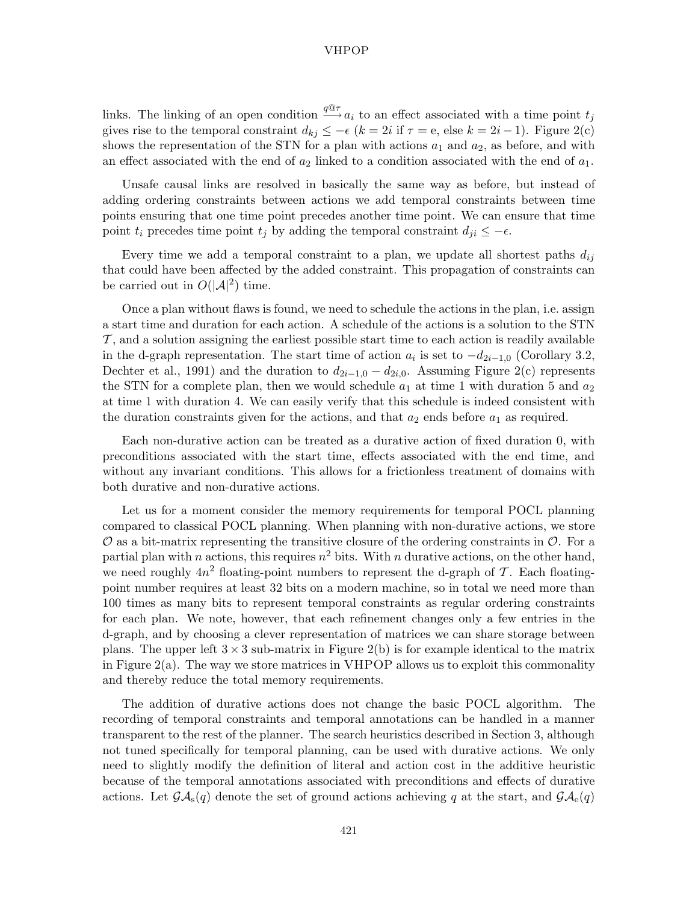links. The linking of an open condition  $\frac{q \mathbb{Q} \tau}{q} a_i$  to an effect associated with a time point  $t_j$ gives rise to the temporal constraint  $d_{kj} \leq -\epsilon$   $(k = 2i$  if  $\tau = e$ , else  $k = 2i - 1$ ). Figure 2(c) shows the representation of the STN for a plan with actions  $a_1$  and  $a_2$ , as before, and with an effect associated with the end of  $a_2$  linked to a condition associated with the end of  $a_1$ .

Unsafe causal links are resolved in basically the same way as before, but instead of adding ordering constraints between actions we add temporal constraints between time points ensuring that one time point precedes another time point. We can ensure that time point  $t_i$  precedes time point  $t_j$  by adding the temporal constraint  $d_{ii} \leq -\epsilon$ .

Every time we add a temporal constraint to a plan, we update all shortest paths  $d_{ij}$ that could have been affected by the added constraint. This propagation of constraints can be carried out in  $O(|\mathcal{A}|^2)$  time.

Once a plan without flaws is found, we need to schedule the actions in the plan, i.e. assign a start time and duration for each action. A schedule of the actions is a solution to the STN  $\mathcal{T}$ , and a solution assigning the earliest possible start time to each action is readily available in the d-graph representation. The start time of action  $a_i$  is set to  $-d_{2i-1,0}$  (Corollary 3.2, Dechter et al., 1991) and the duration to  $d_{2i-1,0} - d_{2i,0}$ . Assuming Figure 2(c) represents the STN for a complete plan, then we would schedule  $a_1$  at time 1 with duration 5 and  $a_2$ at time 1 with duration 4. We can easily verify that this schedule is indeed consistent with the duration constraints given for the actions, and that  $a_2$  ends before  $a_1$  as required.

Each non-durative action can be treated as a durative action of fixed duration 0, with preconditions associated with the start time, effects associated with the end time, and without any invariant conditions. This allows for a frictionless treatment of domains with both durative and non-durative actions.

Let us for a moment consider the memory requirements for temporal POCL planning compared to classical POCL planning. When planning with non-durative actions, we store  $\mathcal O$  as a bit-matrix representing the transitive closure of the ordering constraints in  $\mathcal O$ . For a partial plan with n actions, this requires  $n^2$  bits. With n durative actions, on the other hand, we need roughly  $4n^2$  floating-point numbers to represent the d-graph of T. Each floatingpoint number requires at least 32 bits on a modern machine, so in total we need more than 100 times as many bits to represent temporal constraints as regular ordering constraints for each plan. We note, however, that each refinement changes only a few entries in the d-graph, and by choosing a clever representation of matrices we can share storage between plans. The upper left  $3 \times 3$  sub-matrix in Figure 2(b) is for example identical to the matrix in Figure  $2(a)$ . The way we store matrices in VHPOP allows us to exploit this commonality and thereby reduce the total memory requirements.

The addition of durative actions does not change the basic POCL algorithm. The recording of temporal constraints and temporal annotations can be handled in a manner transparent to the rest of the planner. The search heuristics described in Section 3, although not tuned specifically for temporal planning, can be used with durative actions. We only need to slightly modify the definition of literal and action cost in the additive heuristic because of the temporal annotations associated with preconditions and effects of durative actions. Let  $\mathcal{G}A_{s}(q)$  denote the set of ground actions achieving q at the start, and  $\mathcal{G}A_{e}(q)$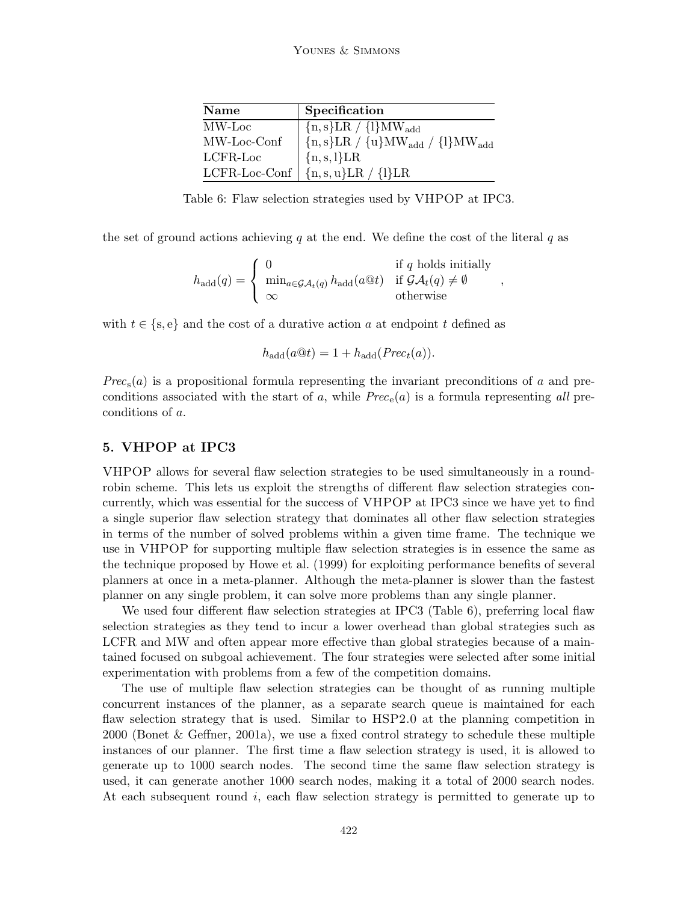| Name             | Specification                         |
|------------------|---------------------------------------|
| MW-Loc           | ${n, s}LR / {l}MW_{add}$              |
| MW-Loc-Conf      | ${n,s}LR / {u}MW_{add} / {l}MW_{add}$ |
| LCFR-Loc         | ${n, s, l}LR$                         |
| $LCFR$ -Loc-Conf | $\{n,s,u\}LR$ / $\{l\}LR$             |

Table 6: Flaw selection strategies used by VHPOP at IPC3.

the set of ground actions achieving q at the end. We define the cost of the literal q as

$$
h_{\text{add}}(q) = \begin{cases} 0 & \text{if } q \text{ holds initially} \\ \min_{a \in \mathcal{GA}_t(q)} h_{\text{add}}(a @ t) & \text{if } \mathcal{GA}_t(q) \neq \emptyset \\ \infty & \text{otherwise} \end{cases}
$$

,

with  $t \in \{s, e\}$  and the cost of a durative action a at endpoint t defined as

$$
h_{\rm add}(a@t) = 1 + h_{\rm add}(Prec_t(a)).
$$

*Prec*s(a) is a propositional formula representing the invariant preconditions of a and preconditions associated with the start of a, while  $Prec<sub>e</sub>(a)$  is a formula representing all preconditions of a.

## **5. VHPOP at IPC3**

VHPOP allows for several flaw selection strategies to be used simultaneously in a roundrobin scheme. This lets us exploit the strengths of different flaw selection strategies concurrently, which was essential for the success of VHPOP at IPC3 since we have yet to find a single superior flaw selection strategy that dominates all other flaw selection strategies in terms of the number of solved problems within a given time frame. The technique we use in VHPOP for supporting multiple flaw selection strategies is in essence the same as the technique proposed by Howe et al. (1999) for exploiting performance benefits of several planners at once in a meta-planner. Although the meta-planner is slower than the fastest planner on any single problem, it can solve more problems than any single planner.

We used four different flaw selection strategies at IPC3 (Table 6), preferring local flaw selection strategies as they tend to incur a lower overhead than global strategies such as LCFR and MW and often appear more effective than global strategies because of a maintained focused on subgoal achievement. The four strategies were selected after some initial experimentation with problems from a few of the competition domains.

The use of multiple flaw selection strategies can be thought of as running multiple concurrent instances of the planner, as a separate search queue is maintained for each flaw selection strategy that is used. Similar to HSP2.0 at the planning competition in 2000 (Bonet & Geffner, 2001a), we use a fixed control strategy to schedule these multiple instances of our planner. The first time a flaw selection strategy is used, it is allowed to generate up to 1000 search nodes. The second time the same flaw selection strategy is used, it can generate another 1000 search nodes, making it a total of 2000 search nodes. At each subsequent round i, each flaw selection strategy is permitted to generate up to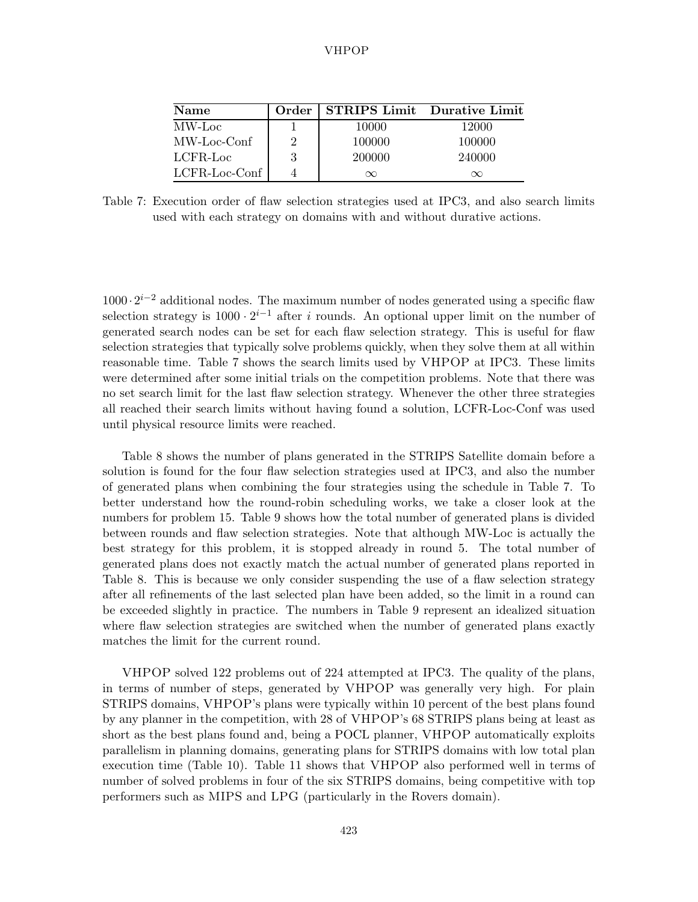| <b>Name</b>      | Order          | <b>STRIPS Limit</b> Durative Limit |          |
|------------------|----------------|------------------------------------|----------|
| MW-Loc           |                | 10000                              | 12000    |
| MW-Loc-Conf      | $\overline{2}$ | 100000                             | 100000   |
| LCFR-Loc         | 3              | 200000                             | 240000   |
| $LCFR$ -Loc-Conf |                | $\infty$                           | $\infty$ |

Table 7: Execution order of flaw selection strategies used at IPC3, and also search limits used with each strategy on domains with and without durative actions.

1000 ·  $2^{i-2}$  additional nodes. The maximum number of nodes generated using a specific flaw selection strategy is  $1000 \cdot 2^{i-1}$  after i rounds. An optional upper limit on the number of generated search nodes can be set for each flaw selection strategy. This is useful for flaw selection strategies that typically solve problems quickly, when they solve them at all within reasonable time. Table 7 shows the search limits used by VHPOP at IPC3. These limits were determined after some initial trials on the competition problems. Note that there was no set search limit for the last flaw selection strategy. Whenever the other three strategies all reached their search limits without having found a solution, LCFR-Loc-Conf was used until physical resource limits were reached.

Table 8 shows the number of plans generated in the STRIPS Satellite domain before a solution is found for the four flaw selection strategies used at IPC3, and also the number of generated plans when combining the four strategies using the schedule in Table 7. To better understand how the round-robin scheduling works, we take a closer look at the numbers for problem 15. Table 9 shows how the total number of generated plans is divided between rounds and flaw selection strategies. Note that although MW-Loc is actually the best strategy for this problem, it is stopped already in round 5. The total number of generated plans does not exactly match the actual number of generated plans reported in Table 8. This is because we only consider suspending the use of a flaw selection strategy after all refinements of the last selected plan have been added, so the limit in a round can be exceeded slightly in practice. The numbers in Table 9 represent an idealized situation where flaw selection strategies are switched when the number of generated plans exactly matches the limit for the current round.

VHPOP solved 122 problems out of 224 attempted at IPC3. The quality of the plans, in terms of number of steps, generated by VHPOP was generally very high. For plain STRIPS domains, VHPOP's plans were typically within 10 percent of the best plans found by any planner in the competition, with 28 of VHPOP's 68 STRIPS plans being at least as short as the best plans found and, being a POCL planner, VHPOP automatically exploits parallelism in planning domains, generating plans for STRIPS domains with low total plan execution time (Table 10). Table 11 shows that VHPOP also performed well in terms of number of solved problems in four of the six STRIPS domains, being competitive with top performers such as MIPS and LPG (particularly in the Rovers domain).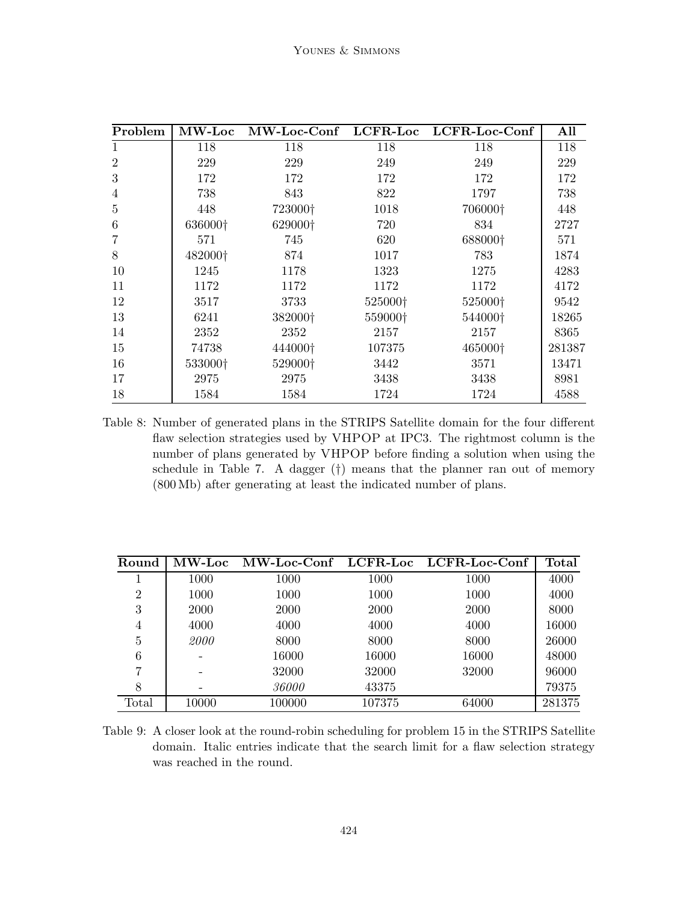| Problem        | $\mathbf{MW}\text{-}\mathbf{Loc}$ |         |         | MW-Loc-Conf LCFR-Loc LCFR-Loc-Conf | All    |
|----------------|-----------------------------------|---------|---------|------------------------------------|--------|
| 1              | 118                               | 118     | 118     | 118                                | 118    |
| $\overline{2}$ | 229                               | 229     | 249     | 249                                | 229    |
| 3              | 172                               | 172     | 172     | 172                                | 172    |
| 4              | 738                               | 843     | 822     | 1797                               | 738    |
| 5              | 448                               | 723000† | 1018    | 706000†                            | 448    |
| 6              | 636000+                           | 629000† | 720     | 834                                | 2727   |
|                | 571                               | 745     | 620     | 688000+                            | 571    |
| 8              | 482000†                           | 874     | 1017    | 783                                | 1874   |
| 10             | 1245                              | 1178    | 1323    | 1275                               | 4283   |
| 11             | 1172                              | 1172    | 1172    | 1172                               | 4172   |
| 12             | 3517                              | 3733    | 525000+ | 525000+                            | 9542   |
| 13             | 6241                              | 382000† | 559000† | 544000†                            | 18265  |
| 14             | 2352                              | 2352    | 2157    | 2157                               | 8365   |
| 15             | 74738                             | 444000† | 107375  | 465000†                            | 281387 |
| 16             | 533000+                           | 529000† | 3442    | 3571                               | 13471  |
| 17             | 2975                              | 2975    | 3438    | 3438                               | 8981   |
| 18             | 1584                              | 1584    | 1724    | 1724                               | 4588   |

Table 8: Number of generated plans in the STRIPS Satellite domain for the four different flaw selection strategies used by VHPOP at IPC3. The rightmost column is the number of plans generated by VHPOP before finding a solution when using the schedule in Table 7. A dagger (†) means that the planner ran out of memory (800 Mb) after generating at least the indicated number of plans.

| Round          |       |              |        | MW-Loc MW-Loc-Conf LCFR-Loc LCFR-Loc-Conf | Total  |
|----------------|-------|--------------|--------|-------------------------------------------|--------|
|                | 1000  | 1000         | 1000   | 1000                                      | 4000   |
| $\overline{2}$ | 1000  | 1000         | 1000   | 1000                                      | 4000   |
| 3              | 2000  | 2000         | 2000   | 2000                                      | 8000   |
| 4              | 4000  | 4000         | 4000   | 4000                                      | 16000  |
| 5              | 2000  | 8000         | 8000   | 8000                                      | 26000  |
| 6              |       | 16000        | 16000  | 16000                                     | 48000  |
| 7              |       | 32000        | 32000  | 32000                                     | 96000  |
|                |       | <i>36000</i> | 43375  |                                           | 79375  |
| Total          | 10000 | 100000       | 107375 | 64000                                     | 281375 |

Table 9: A closer look at the round-robin scheduling for problem 15 in the STRIPS Satellite domain. Italic entries indicate that the search limit for a flaw selection strategy was reached in the round.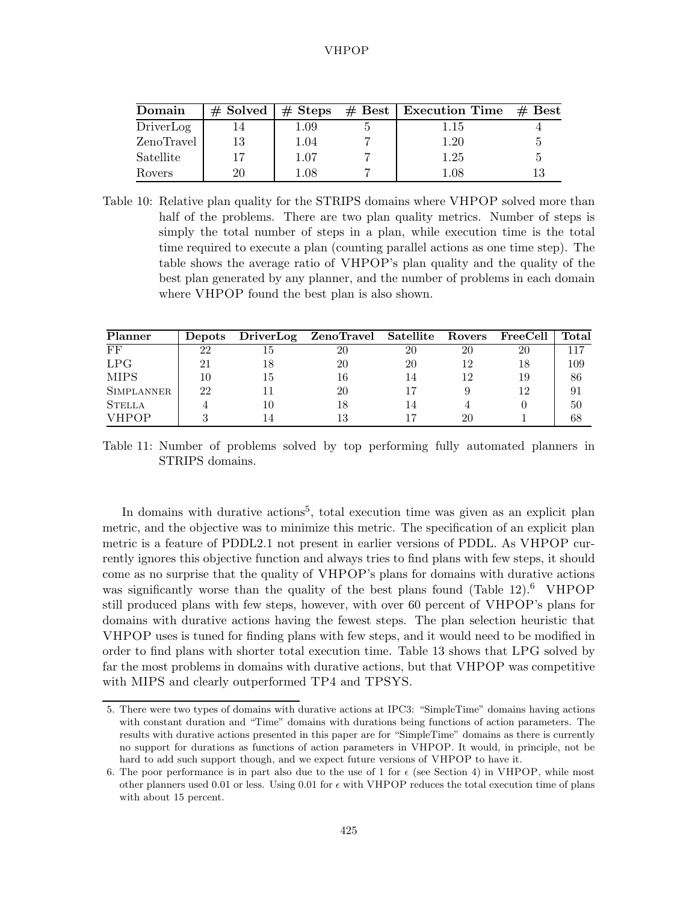| Domain     | $\#$ Solved $\#$ Steps |      | $\#$ Best   Execution Time $\#$ Best |  |
|------------|------------------------|------|--------------------------------------|--|
| DriverLog  |                        | 1.09 | 1.15                                 |  |
| ZenoTravel | 13                     | 1.04 | 1.20                                 |  |
| Satellite  |                        | 1.07 | 1.25                                 |  |
| Rovers     | 20                     | 1.08 | 1.08                                 |  |

Table 10: Relative plan quality for the STRIPS domains where VHPOP solved more than half of the problems. There are two plan quality metrics. Number of steps is simply the total number of steps in a plan, while execution time is the total time required to execute a plan (counting parallel actions as one time step). The table shows the average ratio of VHPOP's plan quality and the quality of the best plan generated by any planner, and the number of problems in each domain where VHPOP found the best plan is also shown.

| Planner           |    |    | Depots DriverLog ZenoTravel Satellite Rovers |    |    | $\rm FreeCell$ | Total |
|-------------------|----|----|----------------------------------------------|----|----|----------------|-------|
| FF                | 22 | ТĐ | 20                                           | 20 | 20 | 20             |       |
| LPG               |    |    | 20                                           | 20 |    |                | 109   |
| <b>MIPS</b>       |    |    | 16                                           |    |    | 19             | 86    |
| <b>SIMPLANNER</b> | 22 |    | 20                                           |    |    |                | 91    |
| <b>STELLA</b>     |    |    |                                              |    |    |                | 50    |
| <b>VHPOP</b>      |    |    |                                              |    |    |                | 68    |

Table 11: Number of problems solved by top performing fully automated planners in STRIPS domains.

In domains with durative actions<sup>5</sup>, total execution time was given as an explicit plan metric, and the objective was to minimize this metric. The specification of an explicit plan metric is a feature of PDDL2.1 not present in earlier versions of PDDL. As VHPOP currently ignores this objective function and always tries to find plans with few steps, it should come as no surprise that the quality of VHPOP's plans for domains with durative actions was significantly worse than the quality of the best plans found (Table 12).<sup>6</sup> VHPOP still produced plans with few steps, however, with over 60 percent of VHPOP's plans for domains with durative actions having the fewest steps. The plan selection heuristic that VHPOP uses is tuned for finding plans with few steps, and it would need to be modified in order to find plans with shorter total execution time. Table 13 shows that LPG solved by far the most problems in domains with durative actions, but that VHPOP was competitive with MIPS and clearly outperformed TP4 and TPSYS.

<sup>5.</sup> There were two types of domains with durative actions at IPC3: "SimpleTime" domains having actions with constant duration and "Time" domains with durations being functions of action parameters. The results with durative actions presented in this paper are for "SimpleTime" domains as there is currently no support for durations as functions of action parameters in VHPOP. It would, in principle, not be hard to add such support though, and we expect future versions of VHPOP to have it.

<sup>6.</sup> The poor performance is in part also due to the use of 1 for  $\epsilon$  (see Section 4) in VHPOP, while most other planners used 0.01 or less. Using 0.01 for  $\epsilon$  with VHPOP reduces the total execution time of plans with about 15 percent.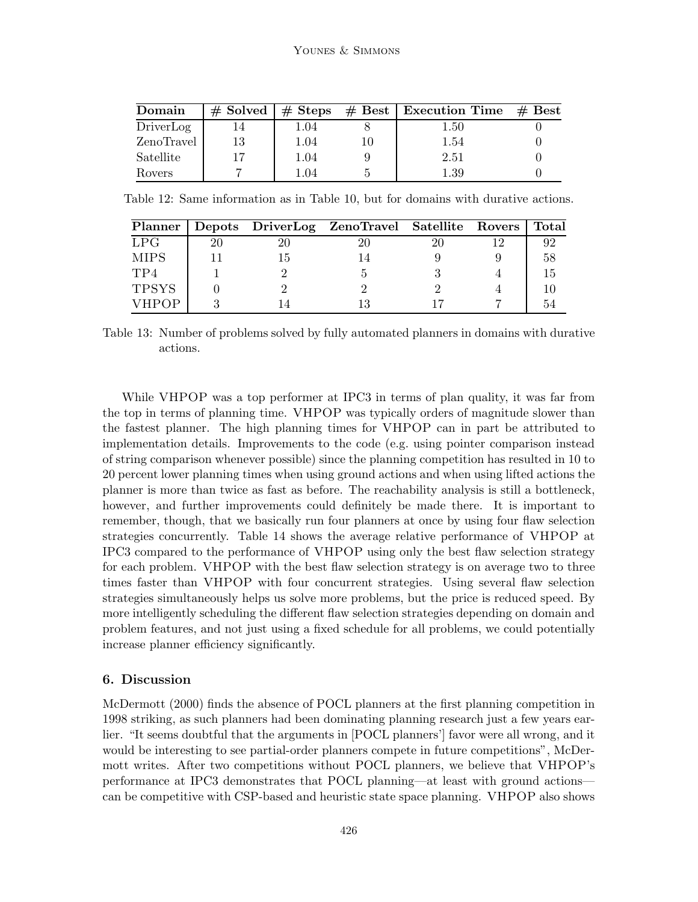| Domain     |    |      | $\#$ Solved $\#$ Steps $\#$ Best   Execution Time $\#$ Best |  |
|------------|----|------|-------------------------------------------------------------|--|
| DriverLog  |    | 1.04 | 1.50                                                        |  |
| ZenoTravel | 13 | 1.04 | 1.54                                                        |  |
| Satellite  |    | 1.04 | 2.51                                                        |  |
| Rovers     |    | 1.04 | 1.39                                                        |  |

Table 12: Same information as in Table 10, but for domains with durative actions.

| Planner      |    | Depots DriverLog ZenoTravel Satellite Rovers |    | Total |
|--------------|----|----------------------------------------------|----|-------|
| LPG          |    |                                              | 20 | 92    |
| MIPS         | 15 |                                              |    | 58    |
| TP4          |    |                                              |    | 15    |
| <b>TPSYS</b> |    |                                              |    |       |
| <b>VHPOP</b> |    |                                              |    |       |

Table 13: Number of problems solved by fully automated planners in domains with durative actions.

While VHPOP was a top performer at IPC3 in terms of plan quality, it was far from the top in terms of planning time. VHPOP was typically orders of magnitude slower than the fastest planner. The high planning times for VHPOP can in part be attributed to implementation details. Improvements to the code (e.g. using pointer comparison instead of string comparison whenever possible) since the planning competition has resulted in 10 to 20 percent lower planning times when using ground actions and when using lifted actions the planner is more than twice as fast as before. The reachability analysis is still a bottleneck, however, and further improvements could definitely be made there. It is important to remember, though, that we basically run four planners at once by using four flaw selection strategies concurrently. Table 14 shows the average relative performance of VHPOP at IPC3 compared to the performance of VHPOP using only the best flaw selection strategy for each problem. VHPOP with the best flaw selection strategy is on average two to three times faster than VHPOP with four concurrent strategies. Using several flaw selection strategies simultaneously helps us solve more problems, but the price is reduced speed. By more intelligently scheduling the different flaw selection strategies depending on domain and problem features, and not just using a fixed schedule for all problems, we could potentially increase planner efficiency significantly.

## **6. Discussion**

McDermott (2000) finds the absence of POCL planners at the first planning competition in 1998 striking, as such planners had been dominating planning research just a few years earlier. "It seems doubtful that the arguments in [POCL planners'] favor were all wrong, and it would be interesting to see partial-order planners compete in future competitions", McDermott writes. After two competitions without POCL planners, we believe that VHPOP's performance at IPC3 demonstrates that POCL planning—at least with ground actions can be competitive with CSP-based and heuristic state space planning. VHPOP also shows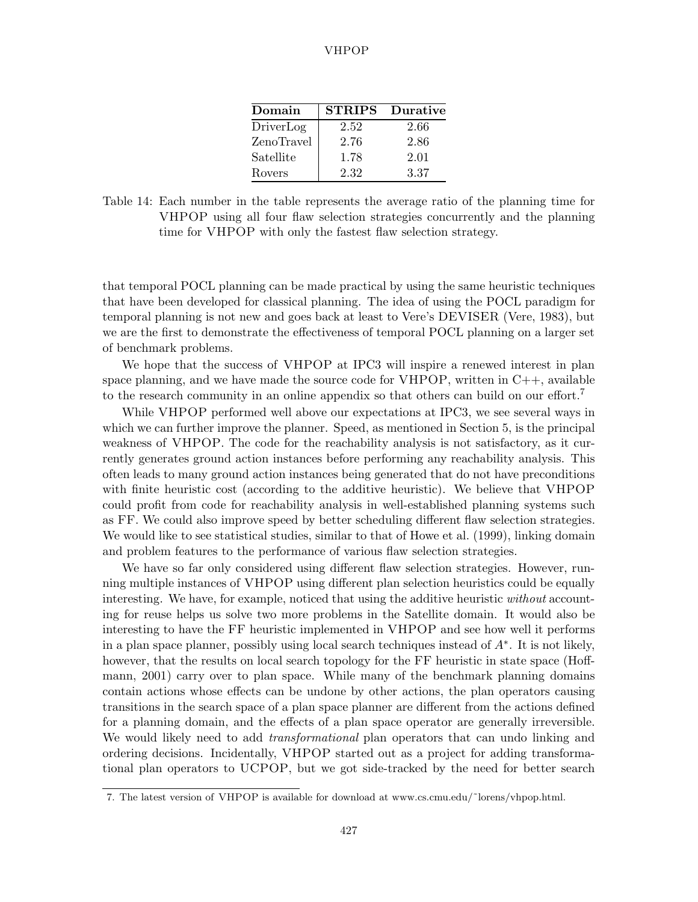| Domain     | <b>STRIPS</b> | Durative |
|------------|---------------|----------|
| DriverLog  | 2.52          | 2.66     |
| ZenoTravel | 2.76          | 2.86     |
| Satellite  | 1.78          | 2.01     |
| Rovers     | 2.32          | 3.37     |

Table 14: Each number in the table represents the average ratio of the planning time for VHPOP using all four flaw selection strategies concurrently and the planning time for VHPOP with only the fastest flaw selection strategy.

that temporal POCL planning can be made practical by using the same heuristic techniques that have been developed for classical planning. The idea of using the POCL paradigm for temporal planning is not new and goes back at least to Vere's DEVISER (Vere, 1983), but we are the first to demonstrate the effectiveness of temporal POCL planning on a larger set of benchmark problems.

We hope that the success of VHPOP at IPC3 will inspire a renewed interest in plan space planning, and we have made the source code for  $VHPOP$ , written in  $C++$ , available to the research community in an online appendix so that others can build on our effort.<sup>7</sup>

While VHPOP performed well above our expectations at IPC3, we see several ways in which we can further improve the planner. Speed, as mentioned in Section 5, is the principal weakness of VHPOP. The code for the reachability analysis is not satisfactory, as it currently generates ground action instances before performing any reachability analysis. This often leads to many ground action instances being generated that do not have preconditions with finite heuristic cost (according to the additive heuristic). We believe that VHPOP could profit from code for reachability analysis in well-established planning systems such as FF. We could also improve speed by better scheduling different flaw selection strategies. We would like to see statistical studies, similar to that of Howe et al. (1999), linking domain and problem features to the performance of various flaw selection strategies.

We have so far only considered using different flaw selection strategies. However, running multiple instances of VHPOP using different plan selection heuristics could be equally interesting. We have, for example, noticed that using the additive heuristic *without* accounting for reuse helps us solve two more problems in the Satellite domain. It would also be interesting to have the FF heuristic implemented in VHPOP and see how well it performs in a plan space planner, possibly using local search techniques instead of  $A^*$ . It is not likely, however, that the results on local search topology for the FF heuristic in state space (Hoffmann, 2001) carry over to plan space. While many of the benchmark planning domains contain actions whose effects can be undone by other actions, the plan operators causing transitions in the search space of a plan space planner are different from the actions defined for a planning domain, and the effects of a plan space operator are generally irreversible. We would likely need to add *transformational* plan operators that can undo linking and ordering decisions. Incidentally, VHPOP started out as a project for adding transformational plan operators to UCPOP, but we got side-tracked by the need for better search

<sup>7.</sup> The latest version of VHPOP is available for download at www.cs.cmu.edu/˜lorens/vhpop.html.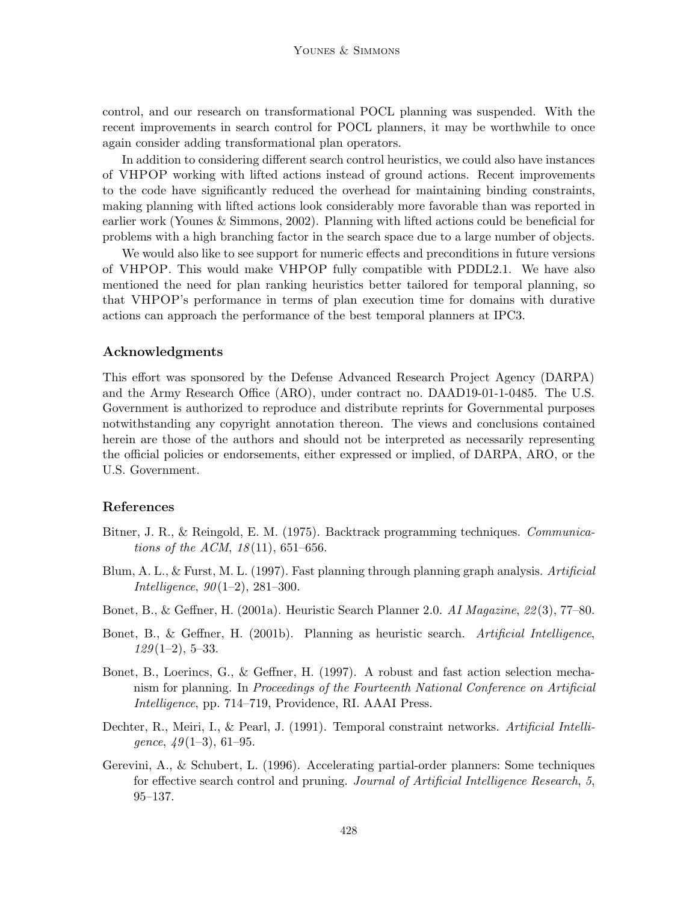control, and our research on transformational POCL planning was suspended. With the recent improvements in search control for POCL planners, it may be worthwhile to once again consider adding transformational plan operators.

In addition to considering different search control heuristics, we could also have instances of VHPOP working with lifted actions instead of ground actions. Recent improvements to the code have significantly reduced the overhead for maintaining binding constraints, making planning with lifted actions look considerably more favorable than was reported in earlier work (Younes & Simmons, 2002). Planning with lifted actions could be beneficial for problems with a high branching factor in the search space due to a large number of objects.

We would also like to see support for numeric effects and preconditions in future versions of VHPOP. This would make VHPOP fully compatible with PDDL2.1. We have also mentioned the need for plan ranking heuristics better tailored for temporal planning, so that VHPOP's performance in terms of plan execution time for domains with durative actions can approach the performance of the best temporal planners at IPC3.

## **Acknowledgments**

This effort was sponsored by the Defense Advanced Research Project Agency (DARPA) and the Army Research Office (ARO), under contract no. DAAD19-01-1-0485. The U.S. Government is authorized to reproduce and distribute reprints for Governmental purposes notwithstanding any copyright annotation thereon. The views and conclusions contained herein are those of the authors and should not be interpreted as necessarily representing the official policies or endorsements, either expressed or implied, of DARPA, ARO, or the U.S. Government.

## **References**

- Bitner, J. R., & Reingold, E. M. (1975). Backtrack programming techniques. *Communications of the ACM*, *18* (11), 651–656.
- Blum, A. L., & Furst, M. L. (1997). Fast planning through planning graph analysis. *Artificial Intelligence*, *90* (1–2), 281–300.
- Bonet, B., & Geffner, H. (2001a). Heuristic Search Planner 2.0. *AI Magazine*, *22* (3), 77–80.
- Bonet, B., & Geffner, H. (2001b). Planning as heuristic search. *Artificial Intelligence*, *129* (1–2), 5–33.
- Bonet, B., Loerincs, G., & Geffner, H. (1997). A robust and fast action selection mechanism for planning. In *Proceedings of the Fourteenth National Conference on Artificial Intelligence*, pp. 714–719, Providence, RI. AAAI Press.
- Dechter, R., Meiri, I., & Pearl, J. (1991). Temporal constraint networks. *Artificial Intelligence*, *49* (1–3), 61–95.
- Gerevini, A., & Schubert, L. (1996). Accelerating partial-order planners: Some techniques for effective search control and pruning. *Journal of Artificial Intelligence Research*, *5*, 95–137.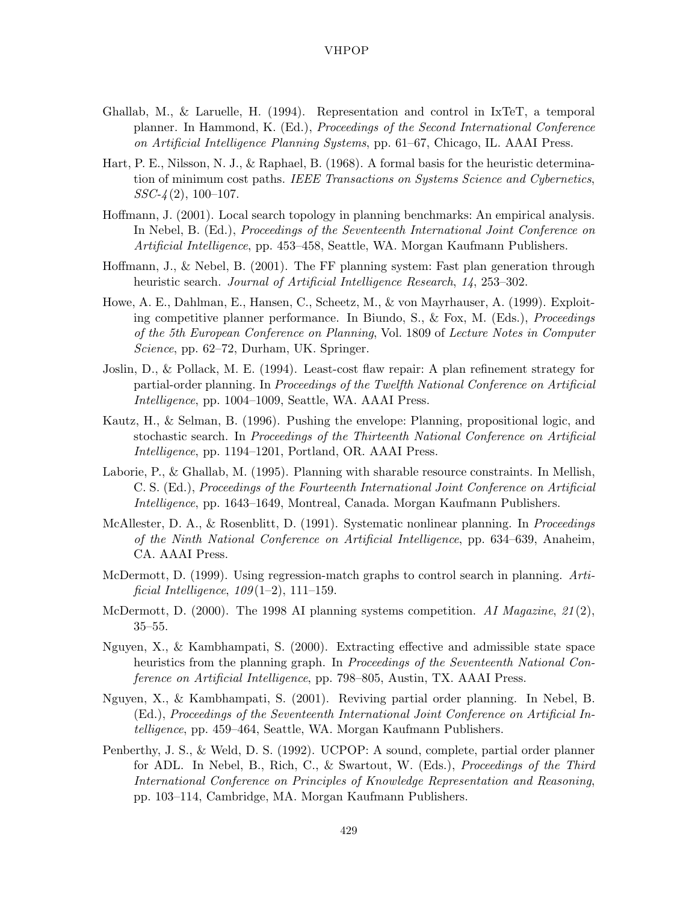- Ghallab, M., & Laruelle, H. (1994). Representation and control in IxTeT, a temporal planner. In Hammond, K. (Ed.), *Proceedings of the Second International Conference on Artificial Intelligence Planning Systems*, pp. 61–67, Chicago, IL. AAAI Press.
- Hart, P. E., Nilsson, N. J., & Raphael, B. (1968). A formal basis for the heuristic determination of minimum cost paths. *IEEE Transactions on Systems Science and Cybernetics*, *SSC-4* (2), 100–107.
- Hoffmann, J. (2001). Local search topology in planning benchmarks: An empirical analysis. In Nebel, B. (Ed.), *Proceedings of the Seventeenth International Joint Conference on Artificial Intelligence*, pp. 453–458, Seattle, WA. Morgan Kaufmann Publishers.
- Hoffmann, J., & Nebel, B. (2001). The FF planning system: Fast plan generation through heuristic search. *Journal of Artificial Intelligence Research*, *14*, 253–302.
- Howe, A. E., Dahlman, E., Hansen, C., Scheetz, M., & von Mayrhauser, A. (1999). Exploiting competitive planner performance. In Biundo, S., & Fox, M. (Eds.), *Proceedings of the 5th European Conference on Planning*, Vol. 1809 of *Lecture Notes in Computer Science*, pp. 62–72, Durham, UK. Springer.
- Joslin, D., & Pollack, M. E. (1994). Least-cost flaw repair: A plan refinement strategy for partial-order planning. In *Proceedings of the Twelfth National Conference on Artificial Intelligence*, pp. 1004–1009, Seattle, WA. AAAI Press.
- Kautz, H., & Selman, B. (1996). Pushing the envelope: Planning, propositional logic, and stochastic search. In *Proceedings of the Thirteenth National Conference on Artificial Intelligence*, pp. 1194–1201, Portland, OR. AAAI Press.
- Laborie, P., & Ghallab, M. (1995). Planning with sharable resource constraints. In Mellish, C. S. (Ed.), *Proceedings of the Fourteenth International Joint Conference on Artificial Intelligence*, pp. 1643–1649, Montreal, Canada. Morgan Kaufmann Publishers.
- McAllester, D. A., & Rosenblitt, D. (1991). Systematic nonlinear planning. In *Proceedings of the Ninth National Conference on Artificial Intelligence*, pp. 634–639, Anaheim, CA. AAAI Press.
- McDermott, D. (1999). Using regression-match graphs to control search in planning. *Artificial Intelligence*, *109* (1–2), 111–159.
- McDermott, D. (2000). The 1998 AI planning systems competition. *AI Magazine*, *21* (2), 35–55.
- Nguyen, X., & Kambhampati, S. (2000). Extracting effective and admissible state space heuristics from the planning graph. In *Proceedings of the Seventeenth National Conference on Artificial Intelligence*, pp. 798–805, Austin, TX. AAAI Press.
- Nguyen, X., & Kambhampati, S. (2001). Reviving partial order planning. In Nebel, B. (Ed.), *Proceedings of the Seventeenth International Joint Conference on Artificial Intelligence*, pp. 459–464, Seattle, WA. Morgan Kaufmann Publishers.
- Penberthy, J. S., & Weld, D. S. (1992). UCPOP: A sound, complete, partial order planner for ADL. In Nebel, B., Rich, C., & Swartout, W. (Eds.), *Proceedings of the Third International Conference on Principles of Knowledge Representation and Reasoning*, pp. 103–114, Cambridge, MA. Morgan Kaufmann Publishers.